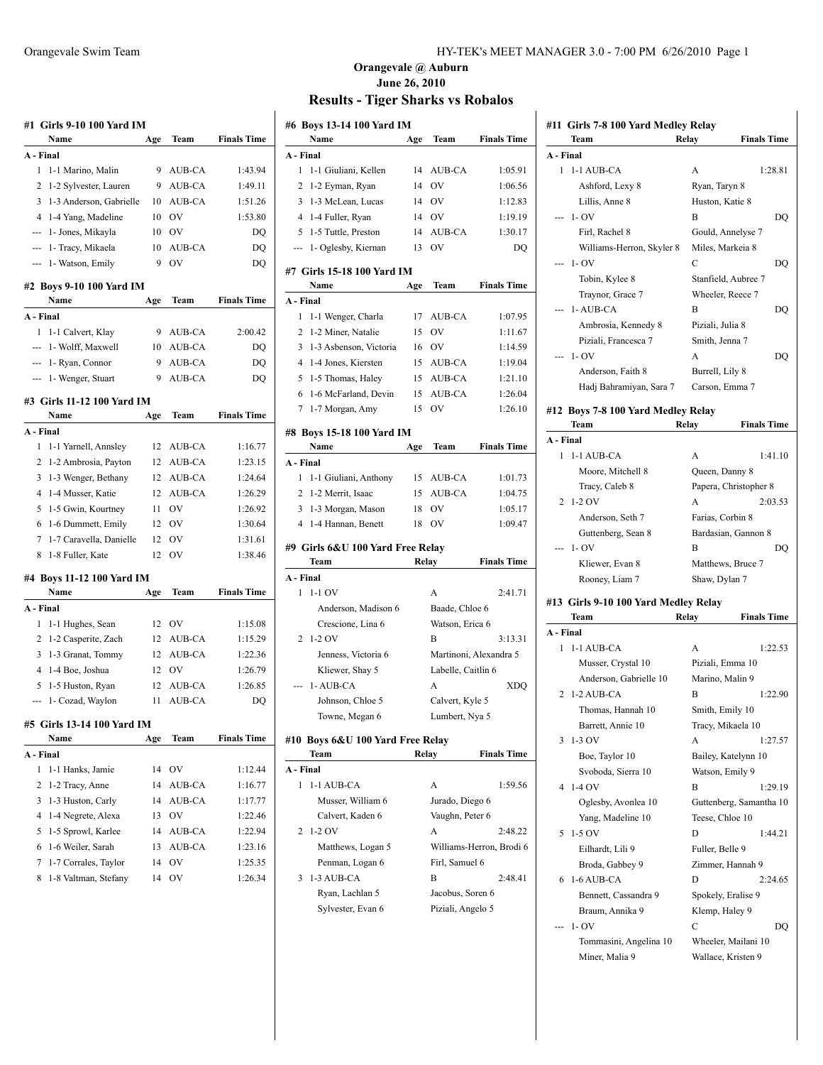|           | Name                                         | Age      | Team          | <b>Finals Time</b> |
|-----------|----------------------------------------------|----------|---------------|--------------------|
| A - Final |                                              |          |               |                    |
| 1         | 1-1 Marino, Malin                            | 9        | AUB-CA        | 1:43.94            |
| 2         | 1-2 Sylvester, Lauren                        | 9        | AUB-CA        | 1:49.11            |
| 3         | 1-3 Anderson, Gabrielle                      | 10       | AUB-CA        | 1:51.26            |
| 4         | 1-4 Yang, Madeline                           | 10       | OV            | 1:53.80            |
| ---       | 1- Jones, Mikayla                            | 10       | OV            | DQ                 |
| ---       | 1- Tracy, Mikaela                            | 10       | AUB-CA        | DQ                 |
| ---       | 1- Watson, Emily                             | 9        | OV            | DQ                 |
|           | #2 Boys 9-10 100 Yard IM<br>Name             | Age      | Team          | <b>Finals Time</b> |
| A - Final |                                              |          |               |                    |
| 1         | 1-1 Calvert, Klay                            | 9        | AUB-CA        | 2:00.42            |
| ---       | 1- Wolff, Maxwell                            | 10       | AUB-CA        | DQ                 |
|           | --- 1- Ryan, Connor                          | 9        | AUB-CA        | DQ                 |
| ---       | 1- Wenger, Stuart                            | 9        | <b>AUB-CA</b> | DQ                 |
|           | #3 Girls 11-12 100 Yard IM                   |          |               |                    |
|           | Name                                         | Age      | Team          | <b>Finals Time</b> |
| A - Final |                                              |          |               |                    |
| 1         | 1-1 Yarnell, Annsley                         | 12       | AUB-CA        | 1:16.77            |
| 2         | 1-2 Ambrosia, Payton                         | 12       | AUB-CA        | 1:23.15            |
| 3         | 1-3 Wenger, Bethany                          | 12       | AUB-CA        | 1:24.64            |
| 4         | 1-4 Musser, Katie                            | 12       | <b>AUB-CA</b> | 1:26.29            |
| 5         | 1-5 Gwin, Kourtney                           | 11       | - OV          | 1:26.92            |
| 6         | 1-6 Dummett, Emily                           | 12       | <b>OV</b>     | 1:30.64            |
| 7         | 1-7 Caravella, Danielle                      | 12       | OV            | 1:31.61            |
| 8         | 1-8 Fuller, Kate                             | 12       | OV            | 1:38.46            |
|           |                                              |          |               |                    |
|           | #4 Boys 11-12 100 Yard IM                    |          |               |                    |
|           | Name                                         | Age      | Team          | <b>Finals Time</b> |
| A - Final |                                              |          |               |                    |
| 1         | 1-1 Hughes, Sean                             | 12       | OV            | 1:15.08            |
| 2         | 1-2 Casperite, Zach                          | 12       | AUB-CA        | 1:15.29            |
| 3         | 1-3 Granat, Tommy                            | 12       | AUB-CA        | 1:22.36            |
| 4         | 1-4 Boe, Joshua                              | 12       | OV            | 1:26.79            |
| 5         | 1-5 Huston, Ryan                             | 12       | AUB-CA        | 1:26.85            |
| ---       | 1- Cozad, Waylon                             | 11       | AUB-CA        | DQ                 |
|           | #5  Girls 13-14 100 Yard IM                  |          |               | <b>Finals Time</b> |
|           | Name                                         | Age      | Team          |                    |
| A - Final |                                              |          |               |                    |
| 1         | 1-1 Hanks, Jamie                             | 14       | OV            | 1:12.44            |
| 2         | 1-2 Tracy, Anne                              | 14       | AUB-CA        | 1:16.77            |
| 3         | 1-3 Huston, Carly                            | 14       | AUB-CA        | 1:17.77            |
| 4         | 1-4 Negrete, Alexa                           | 13       | OV            | 1:22.46            |
| 5         | 1-5 Sprowl, Karlee                           | 14       | AUB-CA        | 1:22.94            |
| 6         | 1-6 Weiler, Sarah                            | 13       | AUB-CA        | 1:23.16            |
|           |                                              |          |               |                    |
| 7<br>8    | 1-7 Corrales, Taylor<br>1-8 Valtman, Stefany | 14<br>14 | OV<br>OV      | 1:25.35<br>1:26.34 |

### **Orangevale @ Auburn June 26, 2010 Results - Tiger Sharks vs Robalos**

|        | #6 Boys 13-14 100 Yard IM<br>Name    |          |                    |                          |
|--------|--------------------------------------|----------|--------------------|--------------------------|
|        |                                      | Age      | Team               | <b>Finals Time</b>       |
|        | A - Final                            |          |                    |                          |
| 1<br>2 | 1-1 Giuliani, Kellen                 | 14<br>14 | AUB-CA<br>OV       | 1:05.91                  |
| 3      | 1-2 Eyman, Ryan<br>1-3 McLean, Lucas |          | OV                 | 1:06.56<br>1:12.83       |
|        | 1-4 Fuller, Ryan                     | 14       |                    |                          |
| 4<br>5 | 1-5 Tuttle, Preston                  | 14<br>14 | OV                 | 1:19.19                  |
|        |                                      |          | AUB-CA<br>OV       | 1:30.17                  |
| ---    | 1- Oglesby, Kiernan                  | 13       |                    | DQ                       |
|        | #7  Girls 15-18 100 Yard IM          |          |                    |                          |
|        | Name                                 | Age      | Team               | <b>Finals Time</b>       |
|        | A - Final                            |          |                    |                          |
| 1      | 1-1 Wenger, Charla                   | 17       | AUB-CA             | 1:07.95                  |
| 2      | 1-2 Miner, Natalie                   | 15       | OV                 | 1:11.67                  |
| 3      | 1-3 Asbenson, Victoria               | 16       | OV                 | 1:14.59                  |
|        | 4 1-4 Jones, Kiersten                | 15       | AUB-CA             | 1:19.04                  |
| 5      | 1-5 Thomas, Haley                    | 15       | AUB-CA             | 1:21.10                  |
| 6      | 1-6 McFarland, Devin                 | 15       | AUB-CA             | 1:26.04                  |
| $\tau$ | 1-7 Morgan, Amy                      | 15       | OV                 | 1:26.10                  |
|        | #8 Bovs 15-18 100 Yard IM            |          |                    |                          |
|        | Name                                 | Age      | Team               | <b>Finals Time</b>       |
|        | A - Final                            |          |                    |                          |
| 1      | 1-1 Giuliani, Anthony                | 15       | AUB-CA             | 1:01.73                  |
| 2      | 1-2 Merrit, Isaac                    | 15       | AUB-CA             | 1:04.75                  |
| 3      | 1-3 Morgan, Mason                    | 18       | OV                 | 1:05.17                  |
| 4      | 1-4 Hannan, Benett                   | 18       | OV                 | 1:09.47                  |
|        |                                      |          |                    |                          |
|        | #9  Girls 6&U 100 Yard Free Relay    |          |                    |                          |
|        | Team                                 | Relay    |                    | <b>Finals Time</b>       |
|        | A - Final                            |          |                    |                          |
| 1      | $1-1$ OV                             |          | A                  | 2:41.71                  |
|        | Anderson, Madison 6                  |          | Baade, Chloe 6     |                          |
|        | Crescione, Lina 6                    |          |                    |                          |
|        |                                      |          | Watson, Erica 6    |                          |
| 2      | 1-2 OV                               |          | B                  | 3:13.31                  |
|        | Jenness, Victoria 6                  |          |                    | Martinoni, Alexandra 5   |
|        | Kliewer, Shay 5                      |          | Labelle, Caitlin 6 |                          |
|        | 1-AUB-CA                             |          | A                  | XDQ                      |
|        | Johnson, Chloe 5                     |          | Calvert, Kyle 5    |                          |
|        | Towne, Megan 6                       |          | Lumbert, Nya 5     |                          |
|        | #10  Boys 6&U 100 Yard Free Relay    |          |                    |                          |
|        | Team                                 | Relay    |                    | <b>Finals Time</b>       |
|        | A - Final                            |          |                    |                          |
| 1      | 1-1 AUB-CA                           |          | А                  | 1:59.56                  |
|        | Musser, William 6                    |          | Jurado, Diego 6    |                          |
|        | Calvert, Kaden 6                     |          | Vaughn, Peter 6    |                          |
| 2      | $1-2$ OV                             |          | A                  | 2:48.22                  |
|        | Matthews, Logan 5                    |          |                    | Williams-Herron, Brodi 6 |
|        | Penman, Logan 6                      |          | Firl, Samuel 6     |                          |
| 3      | 1-3 AUB-CA                           |          | В                  | 2:48.41                  |
|        | Ryan, Lachlan 5                      |          | Jacobus, Soren 6   |                          |
|        | Sylvester, Evan 6                    |          | Piziali, Angelo 5  |                          |

|           | Team                                 | Relay<br><b>Finals Time</b> |
|-----------|--------------------------------------|-----------------------------|
| A - Final |                                      |                             |
|           | 1 1-1 AUB-CA                         | A<br>1:28.81                |
|           | Ashford, Lexy 8                      | Ryan, Taryn 8               |
|           | Lillis, Anne 8                       | Huston, Katie 8             |
| ---       | $1 - OV$                             | B<br>DQ                     |
|           | Firl, Rachel 8                       | Gould, Annelyse 7           |
|           | Williams-Herron, Skyler 8            | Miles, Markeia 8            |
|           | 1- OV                                | C<br>DQ                     |
|           | Tobin, Kylee 8                       | Stanfield, Aubree 7         |
|           | Traynor, Grace 7                     | Wheeler, Reece 7            |
|           | --- 1- AUB-CA                        | B<br>DQ                     |
|           | Ambrosia, Kennedy 8                  | Piziali, Julia 8            |
|           | Piziali, Francesca 7                 | Smith, Jenna 7              |
|           | $-1 - OV$                            | A<br>DQ                     |
|           | Anderson, Faith 8                    |                             |
|           |                                      | Burrell, Lily 8             |
|           | Hadj Bahramiyan, Sara 7              | Carson, Emma 7              |
|           | #12 Boys 7-8 100 Yard Medley Relay   |                             |
|           | Team                                 | <b>Finals Time</b><br>Relay |
| A - Final |                                      |                             |
| 1         | 1-1 AUB-CA                           | A<br>1:41.10                |
|           | Moore, Mitchell 8                    | Queen, Danny 8              |
|           | Tracy, Caleb 8                       | Papera, Christopher 8       |
|           | 2 1-2 OV                             | 2:03.53<br>A                |
|           | Anderson, Seth 7                     | Farias, Corbin 8            |
|           | Guttenberg, Sean 8                   | Bardasian, Gannon 8         |
|           |                                      |                             |
|           | $-1 - OV$                            | B<br>DQ                     |
|           | Kliewer, Evan 8                      | Matthews, Bruce 7           |
|           | Rooney, Liam 7                       | Shaw, Dylan 7               |
|           |                                      |                             |
|           | #13 Girls 9-10 100 Yard Medley Relay |                             |
|           | Team                                 | <b>Finals Time</b><br>Relay |
| A - Final |                                      |                             |
| 1         | 1-1 AUB-CA                           | A<br>1:22.53                |
|           | Musser, Crystal 10                   | Piziali, Emma 10            |
|           | Anderson, Gabrielle 10               | Marino, Malin 9             |
| 2         | 1-2 AUB-CA                           | B<br>1:22.90                |
|           | Thomas, Hannah 10                    | Smith, Emily 10             |
|           | Barrett, Annie 10                    | Tracy, Mikaela 10           |
| 3         | 1-3 OV                               | A<br>1:27.57                |
|           | Boe, Taylor 10                       | Bailey, Katelynn 10         |
|           | Svoboda, Sierra 10                   | Watson, Emily 9             |
| 4         | 1-4 OV                               | B<br>1:29.19                |
|           | Oglesby, Avonlea 10                  | Guttenberg, Samantha 10     |
|           | Yang, Madeline 10                    | Teese, Chloe 10             |
| 5         | $1-5$ OV                             | D<br>1:44.21                |
|           | Eilhardt, Lili 9                     | Fuller, Belle 9             |
|           | Broda, Gabbey 9                      | Zimmer, Hannah 9            |
| 6         | 1-6 AUB-CA                           | D<br>2:24.65                |
|           | Bennett, Cassandra 9                 | Spokely, Eralise 9          |
|           | Braum, Annika 9                      | Klemp, Haley 9              |
|           | $1 - OV$                             | С<br>DQ                     |
|           | Tommasini, Angelina 10               | Wheeler, Mailani 10         |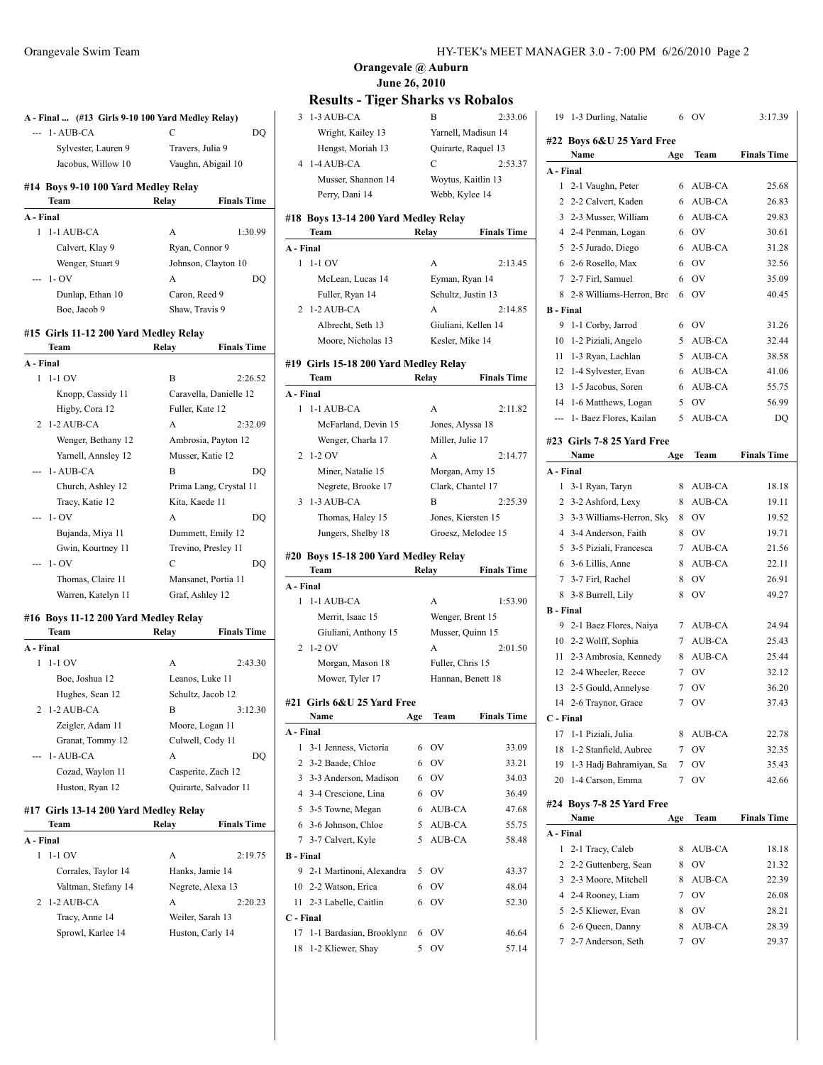| 2            | 1-2 AUB-CA<br>Tracy, Anne 14<br>Sprowl, Karlee 14 | Weiler, Sarah 13<br>Huston, Carly 14 |                        |
|--------------|---------------------------------------------------|--------------------------------------|------------------------|
|              |                                                   |                                      |                        |
|              |                                                   |                                      |                        |
|              |                                                   | A                                    | 2:20.23                |
|              | Valtman, Stefany 14                               | Negrete, Alexa 13                    |                        |
|              | Corrales, Taylor 14                               | Hanks, Jamie 14                      |                        |
| $\mathbf{1}$ | $1-1$ OV                                          | A                                    | 2:19.75                |
| A - Final    |                                                   |                                      |                        |
|              | Team                                              | Relay                                | <b>Finals Time</b>     |
|              | #17 Girls 13-14 200 Yard Medley Relay             |                                      |                        |
|              | Huston, Ryan 12                                   |                                      | Quirarte, Salvador 11  |
|              | Cozad, Waylon 11                                  | Casperite, Zach 12                   |                        |
|              | 1-AUB-CA                                          | А                                    | DQ                     |
|              | Granat, Tommy 12                                  | Culwell, Cody 11                     |                        |
|              | Zeigler, Adam 11                                  | Moore, Logan 11                      |                        |
| 2            | 1-2 AUB-CA                                        | B                                    | 3:12.30                |
|              | Hughes, Sean 12                                   | Schultz, Jacob 12                    |                        |
|              | Boe, Joshua 12                                    | Leanos, Luke 11                      |                        |
| 1            | $1-1$ OV                                          | A                                    | 2:43.30                |
| A - Final    |                                                   |                                      |                        |
|              | Team                                              | Relay                                | <b>Finals Time</b>     |
|              | #16 Boys 11-12 200 Yard Medley Relay              |                                      |                        |
|              |                                                   |                                      |                        |
|              | Warren, Katelyn 11                                | Graf, Ashley 12                      |                        |
|              | Thomas, Claire 11                                 | Mansanet, Portia 11                  |                        |
|              | $1 - OV$                                          | C                                    | DQ                     |
|              | Gwin, Kourtney 11                                 | Trevino, Presley 11                  |                        |
|              | Bujanda, Miya 11                                  | Dummett, Emily 12                    |                        |
|              | $1 - OV$                                          | A                                    | DO                     |
|              | Tracy, Katie 12                                   | Kita, Kaede 11                       |                        |
|              | Church, Ashley 12                                 |                                      | Prima Lang, Crystal 11 |
|              | 1-AUB-CA                                          | B                                    | DO                     |
|              | Yarnell, Annsley 12                               | Musser, Katie 12                     |                        |
|              | Wenger, Bethany 12                                |                                      | Ambrosia, Payton 12    |
| 2            | 1-2 AUB-CA                                        | A                                    | 2:32.09                |
|              | Higby, Cora 12                                    | Fuller, Kate 12                      |                        |
|              | Knopp, Cassidy 11                                 |                                      | Caravella, Danielle 12 |
| 1            | $1-1$ OV                                          | B                                    | 2:26.52                |
| A - Final    |                                                   |                                      |                        |
|              | Team                                              | Relay                                | <b>Finals Time</b>     |
|              | #15 Girls 11-12 200 Yard Medley Relay             |                                      |                        |
|              |                                                   |                                      |                        |
|              | Boe, Jacob 9                                      | Shaw, Travis 9                       |                        |
|              | Dunlap, Ethan 10                                  | Caron, Reed 9                        |                        |
|              | $1 - OV$                                          | A                                    | DQ                     |
|              | Wenger, Stuart 9                                  |                                      | Johnson, Clayton 10    |
|              | Calvert, Klay 9                                   | Ryan, Connor 9                       |                        |
| 1            | 1-1 AUB-CA                                        | A                                    | 1:30.99                |
| A - Final    |                                                   |                                      |                        |
|              | Team                                              | Relay                                | <b>Finals Time</b>     |
|              | #14 Boys 9-10 100 Yard Medley Relay               |                                      |                        |
|              |                                                   | Vaughn, Abigail 10                   |                        |
|              | Jacobus, Willow 10                                |                                      |                        |
|              | Sylvester, Lauren 9                               | Travers, Julia 9                     |                        |

# **Results - Tiger Sharks vs Robalos**

|           | IWSURS - TIEVI SHAI NS VS IWDAIOS    |                    |                     |
|-----------|--------------------------------------|--------------------|---------------------|
|           | 3 1-3 AUB-CA                         | В                  | 2:33.06             |
|           | Wright, Kailey 13                    |                    | Yarnell, Madisun 14 |
|           | Hengst, Moriah 13                    |                    | Quirarte, Raquel 13 |
|           | 4 1-4 AUB-CA                         | C                  | 2:53.37             |
|           | Musser, Shannon 14                   |                    | Woytus, Kaitlin 13  |
|           | Perry, Dani 14                       | Webb, Kylee 14     |                     |
|           | #18 Boys 13-14 200 Yard Medley Relay |                    |                     |
|           | <b>Team</b>                          | Relay              | <b>Finals Time</b>  |
| A - Final |                                      |                    |                     |
|           | $1 - 1 - 1$ OV                       | A                  | 2:13.45             |
|           | McLean, Lucas 14                     | Eyman, Ryan 14     |                     |
|           | Fuller, Ryan 14                      | Schultz, Justin 13 |                     |
|           | 2 1-2 AUB-CA                         | A                  | 2:14.85             |
|           | Albrecht, Seth 13                    |                    | Giuliani, Kellen 14 |
|           |                                      | Kesler, Mike 14    |                     |
|           | Moore, Nicholas 13                   |                    |                     |

#### **#19 Girls 15-18 200 Yard Medley Relay**

|           | Team                                 | Relay | <b>Finals Time</b> |
|-----------|--------------------------------------|-------|--------------------|
| A - Final |                                      |       |                    |
| 1         | $1-1$ AUB-CA                         | A     | 2:11.82            |
|           | McFarland, Devin 15                  |       | Jones, Alyssa 18   |
|           | Wenger, Charla 17                    |       | Miller, Julie 17   |
|           | $2 \t1-2$ OV                         | A     | 2:14.77            |
|           | Miner, Natalie 15                    |       | Morgan, Amy 15     |
|           | Negrete, Brooke 17                   |       | Clark, Chantel 17  |
|           | $3 \t1-3$ AUB-CA                     | B     | 2.25.39            |
|           | Thomas, Haley 15                     |       | Jones, Kiersten 15 |
|           | Jungers, Shelby 18                   |       | Groesz, Melodee 15 |
|           | #20 Boys 15-18 200 Yard Medley Relay |       |                    |

### **Team Relay Finals Time A - Final** 1 1-1 AUB-CA A 1:53.90 Merrit, Isaac 15 Wenger, Brent 15 Giuliani, Anthony 15 Musser, Quinn 15 2 1-2 OV A 2:01.50 Morgan, Mason 18 Fuller, Chris 15 Mower, Tyler 17 Hannan, Benett 18 **#21 Girls 6&U 25 Yard Free**

|                  | Name                        | Age | Team      | <b>Finals Time</b> |
|------------------|-----------------------------|-----|-----------|--------------------|
| A - Final        |                             |     |           |                    |
|                  | 1 3-1 Jenness, Victoria     | 6   | OV        | 33.09              |
|                  | 2 3-2 Baade, Chloe          |     | 6 OV      | 33.21              |
|                  | 3 3-3 Anderson, Madison     | 6   | <b>OV</b> | 34.03              |
|                  | 4 3-4 Crescione, Lina       | 6   | <b>OV</b> | 36.49              |
|                  | 5 3-5 Towne, Megan          |     | 6 AUB-CA  | 47.68              |
|                  | 6 3-6 Johnson, Chloe        |     | 5 AUB-CA  | 55.75              |
|                  | 7 3-7 Calvert, Kyle         |     | 5 AUB-CA  | 58.48              |
| <b>B</b> - Final |                             |     |           |                    |
|                  | 9 2-1 Martinoni, Alexandra  |     | 5 OV      | 43.37              |
|                  | 10 2-2 Watson, Erica        | 6   | - OV      | 48.04              |
|                  | 11 2-3 Labelle, Caitlin     | 6   | - OV      | 52.30              |
| C - Final        |                             |     |           |                    |
|                  | 17 1-1 Bardasian, Brooklynn | 6   | OV        | 46.64              |
|                  | 18 1-2 Kliewer, Shay        | 5   | OV        | 57.14              |

| 19               | 1-3 Durling, Natalie       | 6   | ov          | 3:17.39            |
|------------------|----------------------------|-----|-------------|--------------------|
|                  | #22 Boys 6&U 25 Yard Free  |     |             |                    |
|                  | Name                       | Age | Team        | <b>Finals Time</b> |
| A - Final        |                            |     |             |                    |
| 1                | 2-1 Vaughn, Peter          | 6   | AUB-CA      | 25.68              |
| 2                | 2-2 Calvert, Kaden         | 6   | AUB-CA      | 26.83              |
| 3                | 2-3 Musser, William        | 6   | AUB-CA      | 29.83              |
| 4                | 2-4 Penman, Logan          | 6   | <b>OV</b>   | 30.61              |
| 5                | 2-5 Jurado, Diego          | 6   | AUB-CA      | 31.28              |
| 6                | 2-6 Rosello, Max           | 6   | OV          | 32.56              |
| 7                | 2-7 Firl, Samuel           | 6   | OV          | 35.09              |
| 8                | 2-8 Williams-Herron, Brc   | 6   | OV          | 40.45              |
| <b>B</b> - Final |                            |     |             |                    |
| 9                | 1-1 Corby, Jarrod          | 6   | <b>OV</b>   | 31.26              |
| 10               | 1-2 Piziali, Angelo        | 5   | AUB-CA      | 32.44              |
| 11               | 1-3 Ryan, Lachlan          | 5   | AUB-CA      | 38.58              |
| 12               | 1-4 Sylvester, Evan        | 6   | AUB-CA      | 41.06              |
| 13               | 1-5 Jacobus, Soren         | 6   | AUB-CA      | 55.75              |
| 14               | 1-6 Matthews, Logan        | 5   | OV          | 56.99              |
| ---              | 1- Baez Flores, Kailan     | 5   | AUB-CA      | DQ                 |
|                  | #23 Girls 7-8 25 Yard Free |     |             |                    |
|                  | Name                       | Age | <b>Team</b> | <b>Finals Time</b> |
| A - Final        |                            |     |             |                    |
| 1                | 3-1 Ryan, Taryn            | 8   | AUB-CA      | 18.18              |
| $\overline{2}$   | 3-2 Ashford, Lexy          | 8   | AUB-CA      | 19.11              |
| 3                | 3-3 Williams-Herron, Sky   | 8   | <b>OV</b>   | 19.52              |
| 4                | 3-4 Anderson, Faith        | 8   | <b>OV</b>   | 19.71              |
| 5                | 3-5 Piziali, Francesca     | 7   | AUB-CA      | 21.56              |
| 6                | 3-6 Lillis, Anne           | 8   | AUB-CA      | 22.11              |
| 7                | 3-7 Firl, Rachel           | 8   | OV          | 26.91              |
| 8                | 3-8 Burrell, Lily          | 8   | OV          | 49.27              |
| <b>B</b> - Final |                            |     |             |                    |
| 9                | 2-1 Baez Flores, Naiya     | 7   | AUB-CA      | 24.94              |
| 10               | 2-2 Wolff, Sophia          | 7   | AUB-CA      | 25.43              |
| 11               | 2-3 Ambrosia, Kennedy      | 8   | AUB-CA      | 25.44              |
| 12               | 2-4 Wheeler, Reece         | 7   | OV          | 32.12              |
| 13               | 2-5 Gould, Annelyse        | 7   | ov          | 36.20              |
| 14               | 2-6 Traynor, Grace         | 7   | OV          | 37.43              |
| C - Final        |                            |     |             |                    |
| 17               | 1-1 Piziali, Julia         | 8   | AUB-CA      | 22.78              |
| 18               | 1-2 Stanfield, Aubree      | 7   | OV          | 32.35              |
| 19               | 1-3 Hadj Bahramiyan, Sa    | 7   | OV          | 35.43              |
| 20               | 1-4 Carson, Emma           | 7   | OV          | 42.66              |
|                  | #24 Boys 7-8 25 Yard Free  |     |             |                    |
|                  | Name                       | Age | Team        | <b>Finals Time</b> |
| A - Final        |                            |     |             |                    |
| 1                | 2-1 Tracy, Caleb           | 8   | AUB-CA      | 18.18              |
| 2                | 2-2 Guttenberg, Sean       | 8   | OV          | 21.32              |
| 3                | 2-3 Moore, Mitchell        | 8   | AUB-CA      | 22.39              |

 2-4 Rooney, Liam 7 OV 26.08 5 2-5 Kliewer, Evan 8 OV 28.21 2-6 Queen, Danny 8 AUB-CA 28.39 2-7 Anderson, Seth 7 OV 29.37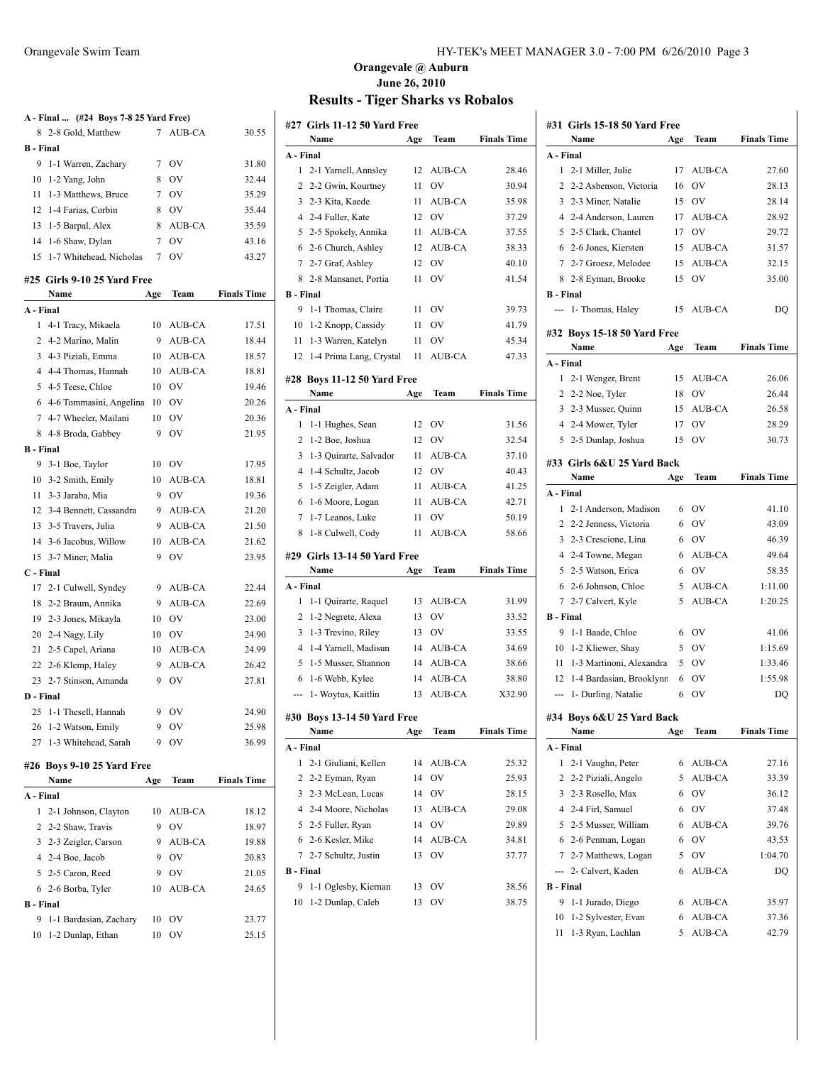|                  | A - Final  (#24 Boys 7-8 25 Yard Free) |     |                 |                    |
|------------------|----------------------------------------|-----|-----------------|--------------------|
|                  | 8 2-8 Gold, Matthew                    | 7   | <b>AUB-CA</b>   | 30.55              |
| <b>B</b> - Final |                                        |     |                 |                    |
|                  | 9 1-1 Warren, Zachary                  | 7   | OV              | 31.80              |
|                  | 10 1-2 Yang, John                      | 8   | <b>OV</b>       | 32.44              |
|                  | 11 1-3 Matthews, Bruce                 |     | 7 OV            | 35.29              |
|                  | 12 1-4 Farias, Corbin                  | 8   | <b>OV</b>       | 35.44              |
|                  | 13 1-5 Barpal, Alex                    | 8   | AUB-CA          | 35.59              |
|                  | 14 1-6 Shaw, Dylan                     | 7   | <b>OV</b>       | 43.16              |
| 15               | 1-7 Whitehead, Nicholas                | 7   | OV              | 43.27              |
|                  | #25 Girls 9-10 25 Yard Free            |     |                 |                    |
|                  | Name                                   | Age | Team            | <b>Finals Time</b> |
| A - Final        |                                        |     |                 |                    |
| 1                | 4-1 Tracy, Mikaela                     | 10  | AUB-CA          | 17.51              |
|                  | 2 4-2 Marino, Malin                    | 9   | AUB-CA          | 18.44              |
|                  | 3 4-3 Piziali, Emma                    |     | 10 AUB-CA       | 18.57              |
|                  | 4 4-4 Thomas, Hannah                   | 10  | AUB-CA          | 18.81              |
|                  | 5 4-5 Teese, Chloe                     | 10  | $\overline{O}V$ | 19.46              |
|                  | 6 4-6 Tommasini, Angelina              | 10  | <b>OV</b>       | 20.26              |
|                  | 7 4-7 Wheeler, Mailani                 | 10  | OV              | 20.36              |
|                  | 8 4-8 Broda, Gabbey                    | 9   | OV              | 21.95              |
| <b>B</b> - Final |                                        |     |                 |                    |
|                  | 9 3-1 Boe, Taylor                      | 10  | OV              | 17.95              |
|                  | 10 3-2 Smith, Emily                    | 10  | AUB-CA          | 18.81              |
|                  | 11 3-3 Jaraba, Mia                     | 9   | <b>OV</b>       | 19.36              |
|                  | 12 3-4 Bennett, Cassandra              | 9   | AUB-CA          | 21.20              |
|                  | 13 3-5 Travers, Julia                  | 9   | AUB-CA          | 21.50              |
|                  | 14 3-6 Jacobus, Willow                 | 10  | AUB-CA          | 21.62              |
|                  | 15 3-7 Miner, Malia                    | 9   | OV              | 23.95              |
| C - Final        |                                        |     |                 |                    |
|                  | 17 2-1 Culwell, Syndey                 | 9   | AUB-CA          | 22.44              |
|                  | 18 2-2 Braum, Annika                   | 9   | AUB-CA          | 22.69              |
|                  | 19 2-3 Jones, Mikayla                  | 10  | <b>OV</b>       | 23.00              |
|                  | 20 2-4 Nagy, Lily                      | 10  | <b>OV</b>       | 24.90              |
|                  | 21 2-5 Capel, Ariana                   | 10  | AUB-CA          | 24.99              |
|                  | 22 2-6 Klemp, Haley                    | 9   | AUB-CA          | 26.42              |
|                  | 23 2-7 Stinson, Amanda                 | 9   | OV              | 27.81              |
| D - Final        |                                        |     |                 |                    |
| 25               | 1-1 Thesell, Hannah                    | 9   | OV              | 24.90              |
| 26               | 1-2 Watson, Emily                      | 9   | OV              | 25.98              |
| 27               | 1-3 Whitehead, Sarah                   | 9   | OV              | 36.99              |
|                  |                                        |     |                 |                    |
|                  | #26 Boys 9-10 25 Yard Free             |     |                 |                    |
|                  | Name                                   | Age | Team            | <b>Finals Time</b> |
| A - Final        |                                        |     |                 | 18.12              |
| 1                | 2-1 Johnson, Clayton                   | 10  | AUB-CA          |                    |
| 2                | 2-2 Shaw, Travis                       | 9   | OV              | 18.97              |
|                  | 3 2-3 Zeigler, Carson                  | 9   | AUB-CA          | 19.88              |
|                  | 4 2-4 Boe, Jacob                       | 9   | OV              | 20.83              |
|                  | 5 2-5 Caron, Reed                      | 9   | OV              | 21.05              |
|                  | 6 2-6 Borba, Tyler                     | 10  | AUB-CA          | 24.65              |
| <b>B</b> - Final |                                        |     |                 |                    |
| 9                | 1-1 Bardasian, Zachary                 | 10  | OV              | 23.77              |
| 10               | 1-2 Dunlap, Ethan                      | 10  | OV              | 25.15              |

#### Orangevale Swim Team HY-TEK's MEET MANAGER 3.0 - 7:00 PM 6/26/2010 Page 3

### **Orangevale @ Auburn June 26, 2010 Results - Tiger Sharks vs Robalos**

|                | #27 Girls 11-12 50 Yard Free              |          |                     |                    |
|----------------|-------------------------------------------|----------|---------------------|--------------------|
|                | Name                                      | Age      | Team                | <b>Finals Time</b> |
|                | A - Final                                 |          |                     |                    |
| 1              | 2-1 Yarnell, Annsley                      | 12       | AUB-CA              | 28.46              |
| $\overline{2}$ | 2-2 Gwin, Kourtney                        | 11       | OV                  | 30.94              |
|                | 3 2-3 Kita, Kaede                         | 11       | AUB-CA              | 35.98              |
|                | 4 2-4 Fuller, Kate                        | 12       | OV                  | 37.29              |
|                | 5 2-5 Spokely, Annika                     | 11       | AUB-CA              | 37.55              |
|                | 6 2-6 Church, Ashley                      | 12       | AUB-CA              | 38.33              |
|                | 7 2-7 Graf, Ashley                        | 12       | OV                  | 40.10              |
| 8              | 2-8 Mansanet, Portia                      | 11       | OV                  | 41.54              |
|                | <b>B</b> - Final                          |          |                     |                    |
| 9              | 1-1 Thomas, Claire                        | 11       | - OV                | 39.73              |
| 10             | 1-2 Knopp, Cassidy                        | 11       | OV                  | 41.79              |
| 11             | 1-3 Warren, Katelyn                       | 11       | OV                  | 45.34              |
| 12             | 1-4 Prima Lang, Crystal                   | 11       | AUB-CA              | 47.33              |
|                | #28 Boys 11-12 50 Yard Free               |          |                     |                    |
|                | Name                                      | Age      | Team                | <b>Finals Time</b> |
|                | A - Final                                 |          |                     |                    |
| 1              | 1-1 Hughes, Sean                          | 12       | OV                  | 31.56              |
| 2              | 1-2 Boe, Joshua                           | 12       | OV                  | 32.54              |
| 3              | 1-3 Quirarte, Salvador                    | 11       | AUB-CA              | 37.10              |
| 4              | 1-4 Schultz, Jacob                        | 12       | $\overline{\rm OV}$ | 40.43              |
| 5              | 1-5 Zeigler, Adam                         | 11       | AUB-CA              | 41.25              |
| 6              | 1-6 Moore, Logan                          | 11       | AUB-CA              | 42.71              |
| 7              | 1-7 Leanos, Luke                          | 11       | OV                  | 50.19              |
| 8              | 1-8 Culwell, Cody                         | 11       | AUB-CA              | 58.66              |
|                | #29 Girls 13-14 50 Yard Free              |          |                     |                    |
|                | Name                                      | Age      | Team                | <b>Finals Time</b> |
|                | A - Final                                 |          |                     |                    |
| 1              | 1-1 Quirarte, Raquel                      | 13       | AUB-CA              | 31.99              |
| 2              | 1-2 Negrete, Alexa                        | 13       | OV                  | 33.52              |
| 3              | 1-3 Trevino, Riley                        | 13       | OV                  | 33.55              |
| 4              | 1-4 Yarnell, Madisun                      |          |                     | 34.69              |
|                |                                           |          |                     |                    |
|                |                                           | 14       | AUB-CA              |                    |
| 5              | 1-5 Musser, Shannon                       | 14       | AUB-CA              | 38.66              |
| 6              | 1-6 Webb, Kylee                           | 14       | AUB-CA              | 38.80              |
| ---            | 1- Woytus, Kaitlin                        | 13       | AUB-CA              | X32.90             |
|                | #30 Boys 13-14 50 Yard Free               |          |                     |                    |
|                | Name                                      | Age      | Team                | <b>Finals Time</b> |
|                | A - Final                                 |          |                     |                    |
| 1              | 2-1 Giuliani, Kellen                      | 14       | AUB-CA              | 25.32              |
| 2              | 2-2 Eyman, Ryan                           | 14       | OV                  | 25.93              |
| 3              | 2-3 McLean, Lucas                         | 14       | OV                  | 28.15              |
| 4              | 2-4 Moore, Nicholas                       | 13       | AUB-CA              | 29.08              |
| 5              | 2-5 Fuller, Ryan                          | 14       | OV                  | 29.89              |
| 6              | 2-6 Kesler, Mike                          | 14       | AUB-CA              | 34.81              |
|                | 7 2-7 Schultz, Justin                     | 13       | OV                  | 37.77              |
|                | <b>B</b> - Final                          |          |                     |                    |
| 9              | 1-1 Oglesby, Kiernan<br>1-2 Dunlap, Caleb | 13<br>13 | OV<br>OV            | 38.56<br>38.75     |

|                  | #31 Girls 15-18 50 Yard Free         |     |           |                    |
|------------------|--------------------------------------|-----|-----------|--------------------|
|                  | Name                                 | Age | Team      | <b>Finals Time</b> |
| A - Final        |                                      |     |           |                    |
| 1                | 2-1 Miller, Julie                    | 17  | AUB-CA    | 27.60              |
| $\overline{c}$   | 2-2 Asbenson, Victoria               | 16  | OV        | 28.13              |
|                  | 3 2-3 Miner, Natalie                 | 15  | OV        | 28.14              |
|                  | 4 2-4 Anderson, Lauren               | 17  | AUB-CA    | 28.92              |
|                  | 5 2-5 Clark, Chantel                 | 17  | OV        | 29.72              |
|                  | 6 2-6 Jones, Kiersten                | 15  | AUB-CA    | 31.57              |
|                  | 7 2-7 Groesz, Melodee                | 15  | AUB-CA    | 32.15              |
| 8                | 2-8 Eyman, Brooke                    | 15  | OV        | 35.00              |
| <b>B</b> - Final |                                      |     |           |                    |
| $\overline{a}$   | 1- Thomas, Haley                     | 15  | AUB-CA    | DQ                 |
|                  |                                      |     |           |                    |
|                  | #32 Boys 15-18 50 Yard Free          |     |           |                    |
|                  | Name                                 | Age | Team      | <b>Finals Time</b> |
| A - Final        |                                      |     |           |                    |
| 1                | 2-1 Wenger, Brent                    | 15  | AUB-CA    | 26.06              |
|                  | 2 2-2 Noe, Tyler                     | 18  | OV        | 26.44              |
|                  | 3 2-3 Musser, Quinn                  | 15  | AUB-CA    | 26.58              |
|                  | 4 2-4 Mower, Tyler                   | 17  | OV        | 28.29              |
|                  | 5 2-5 Dunlap, Joshua                 | 15  | OV        | 30.73              |
|                  | #33 Girls 6&U 25 Yard Back           |     |           |                    |
|                  | Name                                 | Age | Team      | <b>Finals Time</b> |
| A - Final        |                                      |     |           |                    |
| 1                | 2-1 Anderson, Madison                | 6   | OV        | 41.10              |
|                  | 2 2-2 Jenness, Victoria              |     | 6 OV      | 43.09              |
|                  | 3 2-3 Crescione, Lina                | 6   | OV        | 46.39              |
|                  | 4 2-4 Towne, Megan                   | 6   | AUB-CA    | 49.64              |
|                  | 5 2-5 Watson, Erica                  | 6   | OV        | 58.35              |
| 6                | 2-6 Johnson, Chloe                   | 5.  | AUB-CA    | 1:11.00            |
| $\tau$           | 2-7 Calvert, Kyle                    | 5   | AUB-CA    | 1:20.25            |
| <b>B</b> - Final |                                      |     |           |                    |
| 9                | 1-1 Baade, Chloe                     |     | 6 OV      | 41.06              |
| 10               | 1-2 Kliewer, Shay                    |     | 5 OV      | 1:15.69            |
| 11               | 1-3 Martinoni, Alexandra             |     | 5 OV      | 1:33.46            |
| 12               | 1-4 Bardasian, Brooklynn             | 6   | <b>OV</b> | 1:55.98            |
| ---              | 1- Durling, Natalie                  | 6   | OV        | DO                 |
|                  |                                      |     |           |                    |
|                  | #34 Boys 6&U 25 Yard Back<br>Name    |     |           | <b>Finals Time</b> |
| A - Final        |                                      | Age | Team      |                    |
| 1                | 2-1 Vaughn, Peter                    | 6   | AUB-CA    | 27.16              |
| 2                | 2-2 Piziali, Angelo                  | 5   | AUB-CA    | 33.39              |
| 3                |                                      | 6   | OV        |                    |
|                  | 2-3 Rosello, Max<br>2-4 Firl, Samuel |     |           | 36.12              |
| 4                |                                      | 6   | OV        | 37.48              |
| 5                | 2-5 Musser, William                  | 6   | AUB-CA    | 39.76              |
| 6                | 2-6 Penman, Logan                    | 6   | OV        | 43.53              |
| 7                | 2-7 Matthews, Logan                  | 5   | OV        | 1:04.70            |
| ---              | 2- Calvert, Kaden                    | 6   | AUB-CA    | DQ                 |
| <b>B</b> - Final |                                      |     |           |                    |
| 9                | 1-1 Jurado, Diego                    | 6   | AUB-CA    | 35.97              |
| 10               | 1-2 Sylvester, Evan                  | 6   | AUB-CA    | 37.36              |
| 11               | 1-3 Ryan, Lachlan                    | 5   | AUB-CA    | 42.79              |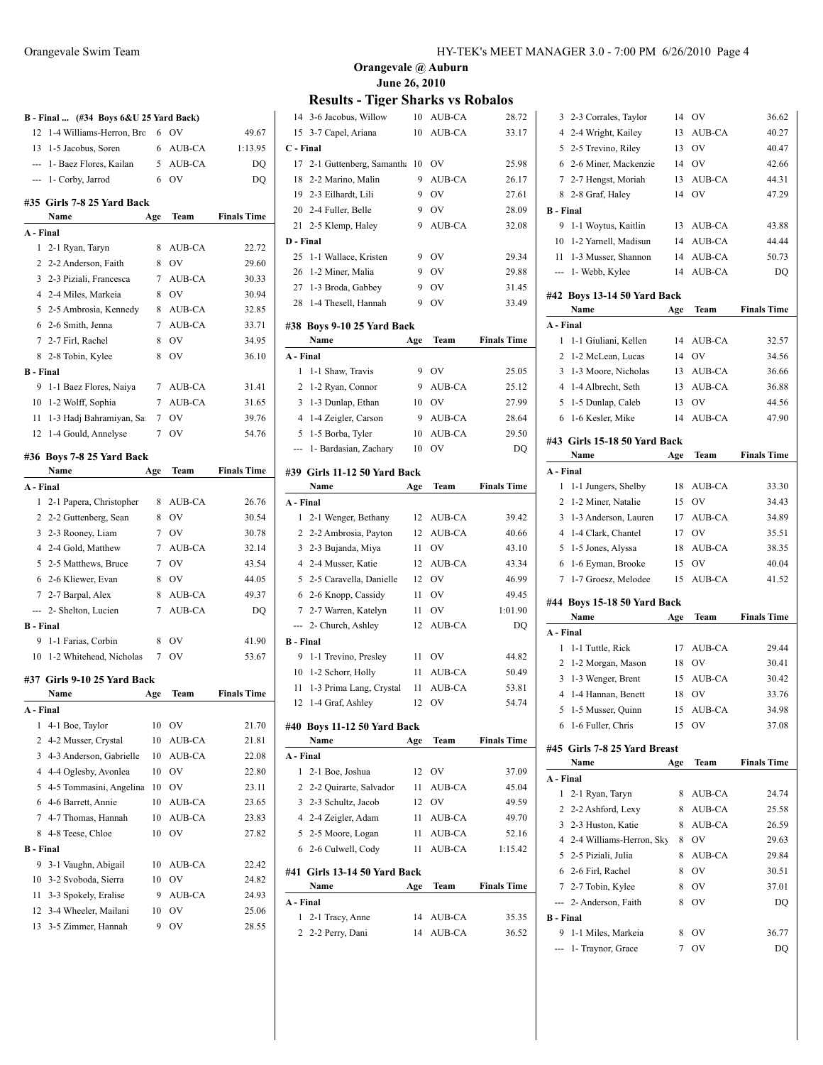|                  | B - Final  (#34 Boys 6&U 25 Yard Back) |             |           |                    |
|------------------|----------------------------------------|-------------|-----------|--------------------|
| 12               | 1-4 Williams-Herron, Brc               | 6           | OV        | 49.67              |
| 13               | 1-5 Jacobus, Soren                     | 6           | AUB-CA    | 1:13.95            |
|                  | --- 1- Baez Flores, Kailan             | 5           | AUB-CA    | DQ                 |
|                  | --- 1- Corby, Jarrod                   | 6           | OV        | DQ                 |
|                  | #35 Girls 7-8 25 Yard Back             |             |           |                    |
|                  | Name                                   | Age         | Team      | <b>Finals Time</b> |
| A - Final        |                                        |             |           |                    |
| $\mathbf{1}$     | 2-1 Ryan, Taryn                        | 8           | AUB-CA    | 22.72              |
|                  | 2 2-2 Anderson, Faith                  | 8           | OV        | 29.60              |
|                  | 3 2-3 Piziali, Francesca               | $\tau$      | AUB-CA    | 30.33              |
|                  | 4 2-4 Miles, Markeia                   | 8           | <b>OV</b> | 30.94              |
|                  | 5 2-5 Ambrosia, Kennedy                | 8           | AUB-CA    | 32.85              |
| 6                | 2-6 Smith, Jenna                       | 7           | AUB-CA    | 33.71              |
|                  | 7 2-7 Firl, Rachel                     | 8           | OV        | 34.95              |
| 8                | 2-8 Tobin, Kylee                       | 8           | OV        | 36.10              |
| <b>B</b> - Final |                                        |             |           |                    |
| 9                | 1-1 Baez Flores, Naiya                 |             | 7 AUB-CA  | 31.41              |
| 10               | 1-2 Wolff, Sophia                      |             | 7 AUB-CA  | 31.65              |
| 11               | 1-3 Hadj Bahramiyan, Sa                | 7           | <b>OV</b> | 39.76              |
|                  | 12 1-4 Gould, Annelyse                 | 7           | OV        | 54.76              |
|                  |                                        |             |           |                    |
|                  | #36 Boys 7-8 25 Yard Back              |             |           |                    |
|                  | Name                                   | Age         | Team      | <b>Finals Time</b> |
| A - Final        |                                        |             |           |                    |
| 1                | 2-1 Papera, Christopher                | 8           | AUB-CA    | 26.76              |
|                  | 2 2-2 Guttenberg, Sean                 | 8           | <b>OV</b> | 30.54              |
|                  | 3 2-3 Rooney, Liam                     | $7^{\circ}$ | <b>OV</b> | 30.78              |
|                  | 4 2-4 Gold, Matthew                    | 7           | AUB-CA    | 32.14              |
| 5                | 2-5 Matthews, Bruce                    | 7           | OV        | 43.54              |
| 6                | 2-6 Kliewer, Evan                      | 8           | <b>OV</b> | 44.05              |
|                  | 7 2-7 Barpal, Alex                     | 8           | AUB-CA    | 49.37              |
|                  | --- 2- Shelton, Lucien                 | 7           | AUB-CA    | DQ                 |
| <b>B</b> - Final |                                        |             |           |                    |
| 9                | 1-1 Farias, Corbin                     | 8           | OV        | 41.90              |
| 10               | 1-2 Whitehead, Nicholas                | 7           | OV        | 53.67              |
|                  | #37 Girls 9-10 25 Yard Back            |             |           |                    |
|                  | Name                                   | Age         | Team      | <b>Finals Time</b> |
|                  | Final                                  |             |           |                    |
| 1                | 4-1 Boe, Taylor                        | 10          | OV        | 21.70              |
| 2                | 4-2 Musser, Crystal                    | 10          | AUB-CA    | 21.81              |
| 3                | 4-3 Anderson, Gabrielle                | 10          | AUB-CA    | 22.08              |
| 4                | 4-4 Oglesby, Avonlea                   | 10          | OV        | 22.80              |
| 5                | 4-5 Tommasini, Angelina                | 10          | OV        | 23.11              |
| 6                | 4-6 Barrett, Annie                     | 10          | AUB-CA    | 23.65              |
| 7                | 4-7 Thomas, Hannah                     | 10          | AUB-CA    | 23.83              |
| 8                | 4-8 Teese, Chloe                       | 10          | OV        | 27.82              |
| <b>B</b> - Final |                                        |             |           |                    |
| 9                | 3-1 Vaughn, Abigail                    | 10          | AUB-CA    | 22.42              |
| 10               | 3-2 Svoboda, Sierra                    | 10          | OV        | 24.82              |
| 11               | 3-3 Spokely, Eralise                   | 9           | AUB-CA    | 24.93              |
| 12               | 3-4 Wheeler, Mailani                   | 10          | OV        | 25.06              |
| 13               | 3-5 Zimmer, Hannah                     | 9           | ov        | 28.55              |
|                  |                                        |             |           |                    |

# **Results - Tiger Sharks vs Robalos**

| 14               | 3-6 Jacobus, Willow                | 10       | <b>AUB-CA</b>    | 28.72              |  |  |
|------------------|------------------------------------|----------|------------------|--------------------|--|--|
| 15               | 3-7 Capel, Ariana                  | 10       | AUB-CA           | 33.17              |  |  |
| C - Final        |                                    |          |                  |                    |  |  |
| 17               | 2-1 Guttenberg, Samantha           | 10       | OV               | 25.98              |  |  |
| 18               | 2-2 Marino, Malin                  | 9        | <b>AUB-CA</b>    | 26.17              |  |  |
| 19               | 2-3 Eilhardt, Lili                 | 9        | <b>OV</b>        | 27.61              |  |  |
| 20               | 2-4 Fuller, Belle                  | 9        | <b>OV</b>        | 28.09              |  |  |
| 21               | 2-5 Klemp, Haley                   | 9        | AUB-CA           | 32.08              |  |  |
| D - Final        |                                    |          |                  |                    |  |  |
| 25               | 1-1 Wallace, Kristen               | 9        | OV               | 29.34              |  |  |
| 26               | 1-2 Miner, Malia                   | 9        | OV               | 29.88              |  |  |
| 27               | 1-3 Broda, Gabbey                  | 9        | <b>OV</b>        | 31.45              |  |  |
| 28               | 1-4 Thesell, Hannah                | 9        | OV               | 33.49              |  |  |
|                  |                                    |          |                  |                    |  |  |
|                  | #38 Boys 9-10 25 Yard Back<br>Name |          | Team             | <b>Finals Time</b> |  |  |
| A - Final        |                                    | Age      |                  |                    |  |  |
| 1                |                                    | 9        | <b>OV</b>        |                    |  |  |
|                  | 1-1 Shaw, Travis                   |          |                  | 25.05              |  |  |
| 2                | 1-2 Ryan, Connor                   | 9        | AUB-CA           | 25.12              |  |  |
| 3                | 1-3 Dunlap, Ethan                  | 10       | <b>OV</b>        | 27.99              |  |  |
| 4                | 1-4 Zeigler, Carson                | 9        | AUB-CA           | 28.64              |  |  |
| 5                | 1-5 Borba, Tyler                   | 10       | AUB-CA           | 29.50              |  |  |
| <u></u>          | 1- Bardasian, Zachary              | 10       | <b>OV</b>        | DQ                 |  |  |
|                  | #39 Girls 11-12 50 Yard Back       |          |                  |                    |  |  |
|                  | Name                               | Age      | Team             | <b>Finals Time</b> |  |  |
| A - Final        |                                    |          |                  |                    |  |  |
| 1                | 2-1 Wenger, Bethany                | 12       | AUB-CA           | 39.42              |  |  |
|                  |                                    |          |                  |                    |  |  |
| 2                | 2-2 Ambrosia, Payton               | 12       | AUB-CA           | 40.66              |  |  |
| 3                | 2-3 Bujanda, Miya                  | 11       | <b>OV</b>        | 43.10              |  |  |
| 4                | 2-4 Musser, Katie                  | 12       | AUB-CA           | 43.34              |  |  |
| 5                | 2-5 Caravella, Danielle            | 12       | <b>OV</b>        | 46.99              |  |  |
| 6                | 2-6 Knopp, Cassidy                 | 11       | <b>OV</b>        | 49.45              |  |  |
| 7                | 2-7 Warren, Katelyn                | 11       | <b>OV</b>        | 1:01.90            |  |  |
| ---              | 2- Church, Ashley                  | 12       | AUB-CA           | DQ                 |  |  |
| <b>B</b> - Final |                                    |          |                  |                    |  |  |
| 9                | 1-1 Trevino, Presley               | 11       | <b>OV</b>        | 44.82              |  |  |
| 10               | 1-2 Schorr, Holly                  | 11       | AUB-CA           | 50.49              |  |  |
| 11               | 1-3 Prima Lang, Crystal            | 11       | <b>AUB-CA</b>    | 53.81              |  |  |
| 12               | 1-4 Graf, Ashley                   | 12       | OV               | 54.74              |  |  |
|                  |                                    |          |                  |                    |  |  |
|                  | #40 Boys 11-12 50 Yard Back        |          |                  |                    |  |  |
|                  | Name                               | Age      | Team             | <b>Finals Time</b> |  |  |
| A - Final        |                                    |          |                  |                    |  |  |
| 1                | 2-1 Boe, Joshua                    | 12       | <b>OV</b>        | 37.09              |  |  |
| 2                | 2-2 Quirarte, Salvador             | 11       | AUB-CA           | 45.04              |  |  |
| 3                | 2-3 Schultz, Jacob                 | 12       | <b>OV</b>        | 49.59              |  |  |
|                  | 4 2-4 Zeigler, Adam                | 11       | AUB-CA           | 49.70              |  |  |
| 5                | 2-5 Moore, Logan                   | 11       | AUB-CA           | 52.16              |  |  |
| 6                | 2-6 Culwell, Cody                  | 11       | AUB-CA           | 1:15.42            |  |  |
| #41              | Girls 13-14 50 Yard Back           |          |                  |                    |  |  |
|                  | Name                               | Age      | Team             | <b>Finals Time</b> |  |  |
| A - Final        |                                    |          |                  |                    |  |  |
| 1<br>2           | 2-1 Tracy, Anne<br>2-2 Perry, Dani | 14<br>14 | AUB-CA<br>AUB-CA | 35.35<br>36.52     |  |  |

| 3                | 2-3 Corrales, Taylor                      | 14  | OV            | 36.62              |
|------------------|-------------------------------------------|-----|---------------|--------------------|
| 4                | 2-4 Wright, Kailey                        | 13  | AUB-CA        | 40.27              |
| 5                | 2-5 Trevino, Riley                        | 13  | OV            | 40.47              |
| 6                | 2-6 Miner, Mackenzie                      | 14  | OV            | 42.66              |
| 7                | 2-7 Hengst, Moriah                        | 13  | AUB-CA        | 44.31              |
| 8                | 2-8 Graf, Haley                           | 14  | OV            | 47.29              |
| <b>B</b> - Final |                                           |     |               |                    |
| 9                | 1-1 Woytus, Kaitlin                       | 13  | AUB-CA        | 43.88              |
| 10               | 1-2 Yarnell, Madisun                      | 14  | AUB-CA        | 44.44              |
| 11               | 1-3 Musser, Shannon                       | 14  | AUB-CA        | 50.73              |
| ---              | 1- Webb, Kylee                            | 14  | <b>AUB-CA</b> | DQ                 |
|                  | #42 Boys 13-14 50 Yard Back               |     |               |                    |
|                  | Name                                      | Age | Team          | <b>Finals Time</b> |
| A - Final        |                                           |     |               |                    |
| 1                | 1-1 Giuliani, Kellen                      | 14  | AUB-CA        | 32.57              |
| 2                | 1-2 McLean, Lucas                         | 14  | OV            | 34.56              |
| 3                | 1-3 Moore, Nicholas                       | 13  | AUB-CA        | 36.66              |
| 4                | 1-4 Albrecht, Seth                        | 13  | AUB-CA        | 36.88              |
| 5                | 1-5 Dunlap, Caleb                         | 13  | OV            | 44.56              |
| 6                | 1-6 Kesler, Mike                          | 14  | AUB-CA        | 47.90              |
|                  | #43 Girls 15-18 50 Yard Back              |     |               |                    |
|                  | Name                                      | Age | Team          | <b>Finals Time</b> |
| A - Final        |                                           |     |               |                    |
| 1                |                                           | 18  | AUB-CA        | 33.30              |
| 2                | 1-1 Jungers, Shelby<br>1-2 Miner, Natalie | 15  | OV            |                    |
| 3                |                                           |     |               | 34.43              |
| 4                | 1-3 Anderson, Lauren                      | 17  | AUB-CA<br>OV  | 34.89<br>35.51     |
|                  | 1-4 Clark, Chantel                        | 17  |               | 38.35              |
|                  |                                           |     |               |                    |
| 5                | 1-5 Jones, Alyssa                         | 18  | AUB-CA        |                    |
| 6                | 1-6 Eyman, Brooke                         | 15  | OV            | 40.04              |
| 7                | 1-7 Groesz, Melodee                       | 15  | AUB-CA        | 41.52              |
|                  | #44 Boys 15-18 50 Yard Back               |     |               |                    |
|                  | Name                                      | Age | Team          | <b>Finals Time</b> |
| A - Final        |                                           |     |               |                    |
| 1                | 1-1 Tuttle, Rick                          | 17  | AUB-CA        | 29.44              |
| 2                | 1-2 Morgan, Mason                         | 18  | OV            | 30.41              |
| 3                | 1-3 Wenger, Brent                         | 15  | AUB-CA        | 30.42              |
| 4                | 1-4 Hannan, Benett                        | 18  | OV            | 33.76              |
| 5                | 1-5 Musser, Quinn                         | 15  | AUB-CA        | 34.98              |
| 6                | 1-6 Fuller, Chris                         | 15  | OV            | 37.08              |
|                  | #45 Girls 7-8 25 Yard Breast              |     |               |                    |
|                  | Name                                      | Age | Team          | <b>Finals Time</b> |
| A - Final        |                                           |     |               |                    |
| 1                | 2-1 Ryan, Taryn                           | 8   | AUB-CA        | 24.74              |
| 2                | 2-2 Ashford, Lexy                         | 8   | AUB-CA        | 25.58              |
| 3                | 2-3 Huston, Katie                         | 8   | AUB-CA        | 26.59              |
| 4                | 2-4 Williams-Herron, Sky                  | 8   | OV            | 29.63              |
| 5                | 2-5 Piziali, Julia                        | 8   | AUB-CA        | 29.84              |
| 6                | 2-6 Firl, Rachel                          | 8   | OV            | 30.51              |
| 7                | 2-7 Tobin, Kylee                          | 8   | OV            | 37.01              |
| ---              | 2- Anderson, Faith                        | 8   | OV            | DQ                 |
| <b>B</b> - Final |                                           |     |               |                    |
| 9                | 1-1 Miles, Markeia                        | 8   | OV            | 36.77              |
| ---              | 1- Traynor, Grace                         | 7   | OV            | DQ                 |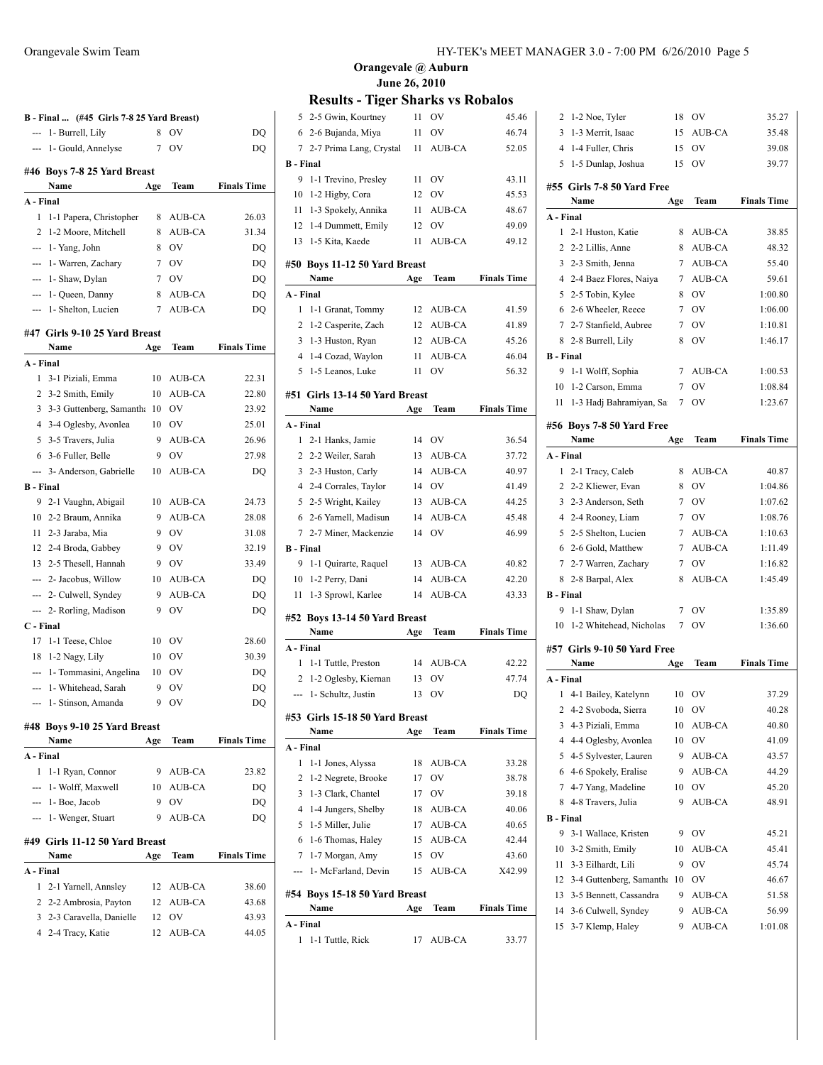|                  | B - Final  (#45 Girls 7-8 25 Yard Breast) |        |           |                    |
|------------------|-------------------------------------------|--------|-----------|--------------------|
| $\frac{1}{2}$    | 1- Burrell, Lily                          | 8      | OV        | DO                 |
| ---              | 1- Gould, Annelyse                        | 7      | OV        | DO                 |
|                  |                                           |        |           |                    |
|                  | #46 Boys 7-8 25 Yard Breast<br>Name       | Age    | Team      | <b>Finals Time</b> |
| A - Final        |                                           |        |           |                    |
| 1                | 1-1 Papera, Christopher                   | 8      | AUB-CA    | 26.03              |
| 2                | 1-2 Moore, Mitchell                       | 8      | AUB-CA    | 31.34              |
|                  | $-$ 1 - Yang, John                        | 8      | <b>OV</b> | DQ                 |
|                  | --- 1- Warren, Zachary                    | 7      | <b>OV</b> | DQ                 |
|                  | --- 1- Shaw, Dylan                        | 7      | <b>OV</b> | DQ                 |
|                  | --- 1 - Queen, Danny                      | 8      | AUB-CA    | DQ                 |
|                  | --- 1- Shelton, Lucien                    | 7      | AUB-CA    | DQ                 |
|                  |                                           |        |           |                    |
|                  | #47 Girls 9-10 25 Yard Breast             |        |           |                    |
|                  | Name                                      | Age    | Team      | <b>Finals Time</b> |
| A - Final        |                                           |        |           |                    |
| $\mathbf{1}$     | 3-1 Piziali, Emma                         | 10     | AUB-CA    | 22.31              |
|                  | 2 3-2 Smith, Emily                        | 10     | AUB-CA    | 22.80              |
| 3                | 3-3 Guttenberg, Samantha                  | 10     | OV        | 23.92              |
|                  | 4 3-4 Oglesby, Avonlea                    | 10     | OV        | 25.01              |
|                  | 5 3-5 Travers, Julia                      | 9      | AUB-CA    | 26.96              |
| 6                | 3-6 Fuller, Belle                         | 9      | OV        | 27.98              |
| $\overline{a}$   | 3- Anderson, Gabrielle                    | 10     | AUB-CA    | DQ                 |
| <b>B</b> - Final |                                           |        |           |                    |
|                  | 9 2-1 Vaughn, Abigail                     | 10     | AUB-CA    | 24.73              |
|                  | 10 2-2 Braum, Annika                      | 9      | AUB-CA    | 28.08              |
|                  | 11 2-3 Jaraba, Mia                        | 9      | <b>OV</b> | 31.08              |
|                  | 12 2-4 Broda, Gabbey                      | 9      | <b>OV</b> | 32.19              |
|                  | 13 2-5 Thesell, Hannah                    | 9      | <b>OV</b> | 33.49              |
|                  | --- 2- Jacobus, Willow                    | 10     | AUB-CA    | DQ                 |
|                  | --- 2- Culwell, Syndey                    | 9      | AUB-CA    | DQ                 |
|                  | --- 2- Rorling, Madison                   | 9      | OV        | DQ                 |
| C - Final        |                                           |        | OV        |                    |
| 17               | 1-1 Teese, Chloe                          | 10     |           | 28.60              |
|                  | 18 1-2 Nagy, Lily                         | 10     | OV        | 30.39              |
|                  | --- 1- Tommasini, Angelina                | 10     | OV        | DQ                 |
|                  | --- 1- Whitehead, Sarah                   | 9<br>9 | OV        | DO                 |
|                  | 1- Stinson, Amanda                        |        | OV        | DQ                 |
|                  | #48 Boys 9-10 25 Yard Breast              |        |           |                    |
|                  | Name                                      | Age    | Team      | <b>Finals Time</b> |
| A - Final        |                                           |        |           |                    |
| 1                | 1-1 Ryan, Connor                          | 9      | AUB-CA    | 23.82              |
| ---              | 1- Wolff, Maxwell                         | 10     | AUB-CA    | DQ                 |
|                  | $-1 - Boe$ , Jacob                        | 9      | OV        | DQ                 |
|                  | --- 1- Wenger, Stuart                     | 9      | AUB-CA    | DQ                 |
|                  | #49 Girls 11-12 50 Yard Breast<br>Name    | Age    | Team      | <b>Finals Time</b> |
| A - Final        |                                           |        |           |                    |
| 1                | 2-1 Yarnell, Annsley                      | 12     | AUB-CA    | 38.60              |
| 2                | 2-2 Ambrosia, Payton                      | 12     | AUB-CA    | 43.68              |
| 3                | 2-3 Caravella, Danielle                   | 12     | OV        | 43.93              |
| 4                | 2-4 Tracy, Katie                          | 12     | AUB-CA    | 44.05              |
|                  |                                           |        |           |                    |
|                  |                                           |        |           |                    |

**Results - Tiger Sharks vs Robalos**

| $\mathbf{1}$          | 1-1 Tuttle, Rick              |          | 17 AUB-CA       | 33.77              |
|-----------------------|-------------------------------|----------|-----------------|--------------------|
| A - Final             |                               |          |                 |                    |
|                       | Name                          | Age      | Team            | <b>Finals Time</b> |
|                       | #54 Boys 15-18 50 Yard Breast |          |                 |                    |
| ---                   | 1- McFarland, Devin           | 15       | AUB-CA          | X42.99             |
| 7                     | 1-7 Morgan, Amy               | 15       | O <sub>V</sub>  | 43.60              |
| 6                     | 1-6 Thomas, Haley             | 15       | AUB-CA          | 42.44              |
| 5                     | 1-5 Miller, Julie             | 17       | AUB-CA          | 40.65              |
| 4                     | 1-4 Jungers, Shelby           | 18       | AUB-CA          | 40.06              |
| 3                     | 1-3 Clark, Chantel            | 17       | OV              | 39.18              |
| 2                     | 1-2 Negrete, Brooke           | 17       | OV              | 38.78              |
| 1                     | 1-1 Jones, Alyssa             | 18       | <b>AUB-CA</b>   | 33.28              |
| A - Final             |                               |          |                 |                    |
|                       | Name                          | Age      | Team            | <b>Finals Time</b> |
| #53                   | Girls 15-18 50 Yard Breast    |          |                 |                    |
| ---                   | 1- Schultz, Justin            | 13       | OV              | DO                 |
| 2                     | 1-2 Oglesby, Kiernan          | 13       | OV              | 47.74              |
| 1                     | 1-1 Tuttle, Preston           | 14       | AUB-CA          | 42.22              |
| A - Final             |                               |          |                 |                    |
|                       | Name                          | Age      | Team            | <b>Finals Time</b> |
|                       | #52 Boys 13-14 50 Yard Breast |          |                 |                    |
|                       |                               |          |                 |                    |
| 11                    | 1-3 Sprowl, Karlee            | 14       | AUB-CA          | 43.33              |
| 10                    | 1-2 Perry, Dani               | 14       | AUB-CA          | 42.20              |
| 9                     | 1-1 Quirarte, Raquel          | 13       | AUB-CA          | 40.82              |
| <b>B</b> - Final      |                               |          |                 |                    |
| $7\phantom{.0}$       | 2-7 Miner, Mackenzie          | 14       | OV              | 46.99              |
| 6                     | 2-6 Yarnell, Madisun          | 14       | AUB-CA          | 45.48              |
| 5                     | 2-5 Wright, Kailey            | 13       | AUB-CA          | 44.25              |
| 4                     | 2-4 Corrales, Taylor          | 14       | <b>OV</b>       | 41.49              |
| 3                     | 2-3 Huston, Carly             | 14       | AUB-CA          | 40.97              |
| 2                     | 2-2 Weiler, Sarah             | 13       | AUB-CA          | 37.72              |
| 1                     | 2-1 Hanks, Jamie              | 14       | <b>OV</b>       | 36.54              |
| A - Final             |                               |          |                 |                    |
|                       | Name                          | Age      | Team            | <b>Finals Time</b> |
| #51                   | Girls 13-14 50 Yard Breast    |          |                 |                    |
| 5                     | 1-5 Leanos, Luke              | 11       | OV              | 56.32              |
| $\overline{4}$        | 1-4 Cozad, Waylon             | 11       | AUB-CA          | 46.04              |
| 3                     | 1-3 Huston, Ryan              | 12       | AUB-CA          | 45.26              |
| 2                     | 1-2 Casperite, Zach           | 12       | AUB-CA          | 41.89              |
| 1                     | 1-1 Granat, Tommy             | 12       | AUB-CA          | 41.59              |
| A - Final             |                               |          |                 |                    |
|                       | <b>Name</b>                   | Age      | Team            | <b>Finals Time</b> |
|                       | #50 Boys 11-12 50 Yard Breast |          |                 |                    |
| 13                    | 1-5 Kita, Kaede               | 11       | AUB-CA          | 49.12              |
| 12                    | 1-4 Dummett, Emily            | 12       | OV              | 49.09              |
| 11                    | 1-3 Spokely, Annika           | 11       | AUB-CA          | 48.67              |
| 10                    | 1-2 Higby, Cora               |          |                 | 45.53              |
|                       | 1-1 Trevino, Presley          | 11<br>12 | <b>OV</b><br>OV | 43.11              |
| <b>B</b> - Final<br>9 |                               |          |                 |                    |
| 7                     | 2-7 Prima Lang, Crystal       | 11       | AUB-CA          | 52.05              |
| 6                     | 2-6 Bujanda, Miya             | 11       | OV              | 46.74              |
| 5                     | 2-5 Gwin, Kourtney            | 11       | OV              | 45.46              |
|                       |                               |          |                 |                    |

| 2                | 1-2 Noe, Tyler              | 18          | OV            | 35.27              |  |  |  |
|------------------|-----------------------------|-------------|---------------|--------------------|--|--|--|
| $\overline{3}$   | 1-3 Merrit, Isaac           | 15          | <b>AUB-CA</b> | 35.48              |  |  |  |
|                  | 4 1-4 Fuller, Chris         | 15          | <b>OV</b>     | 39.08              |  |  |  |
|                  | 5 1-5 Dunlap, Joshua        | 15          | OV            | 39.77              |  |  |  |
|                  |                             |             |               |                    |  |  |  |
|                  | #55 Girls 7-8 50 Yard Free  |             |               | <b>Finals Time</b> |  |  |  |
|                  | Name                        | Age         | Team          |                    |  |  |  |
| A - Final        |                             |             |               |                    |  |  |  |
| 1                | 2-1 Huston, Katie           | 8           | AUB-CA        | 38.85              |  |  |  |
| 2                | 2-2 Lillis, Anne            | 8           | AUB-CA        | 48.32              |  |  |  |
|                  | 3 2-3 Smith, Jenna          | 7           | AUB-CA        | 55.40              |  |  |  |
|                  | 4 2-4 Baez Flores, Naiya    | 7           | AUB-CA        | 59.61              |  |  |  |
|                  | 5 2-5 Tobin, Kylee          | 8           | OV            | 1:00.80            |  |  |  |
|                  | 6 2-6 Wheeler, Reece        | 7           | <b>OV</b>     | 1:06.00            |  |  |  |
|                  | 7 2-7 Stanfield, Aubree     | 7           | OV            | 1:10.81            |  |  |  |
| 8                | 2-8 Burrell, Lily           | 8           | OV            | 1:46.17            |  |  |  |
| <b>B</b> - Final |                             |             |               |                    |  |  |  |
| 9                | 1-1 Wolff, Sophia           | 7           | AUB-CA        | 1:00.53            |  |  |  |
|                  | 10 1-2 Carson, Emma         | $7^{\circ}$ | <b>OV</b>     | 1:08.84            |  |  |  |
| 11               | 1-3 Hadj Bahramiyan, Sa     | 7           | OV            | 1:23.67            |  |  |  |
|                  | #56 Boys 7-8 50 Yard Free   |             |               |                    |  |  |  |
|                  | Name                        | Age         | Team          | <b>Finals Time</b> |  |  |  |
| A - Final        |                             |             |               |                    |  |  |  |
|                  | 1 2-1 Tracy, Caleb          | 8           | AUB-CA        | 40.87              |  |  |  |
|                  | 2 2-2 Kliewer, Evan         | 8           | OV            | 1:04.86            |  |  |  |
|                  | 3 2-3 Anderson, Seth        | 7           | <b>OV</b>     | 1:07.62            |  |  |  |
|                  | 4 2-4 Rooney, Liam          | 7           | <b>OV</b>     | 1:08.76            |  |  |  |
|                  | 5 2-5 Shelton, Lucien       | $7^{\circ}$ | AUB-CA        | 1:10.63            |  |  |  |
|                  | 6 2-6 Gold, Matthew         | 7           | AUB-CA        | 1:11.49            |  |  |  |
|                  | 7 2-7 Warren, Zachary       | $\tau$      | <b>OV</b>     | 1:16.82            |  |  |  |
|                  | 8 2-8 Barpal, Alex          | 8           | AUB-CA        | 1:45.49            |  |  |  |
| <b>B</b> - Final |                             |             |               |                    |  |  |  |
| 9                | 1-1 Shaw, Dylan             | 7           | <b>OV</b>     | 1:35.89            |  |  |  |
| 10               | 1-2 Whitehead, Nicholas     | 7           | OV            | 1:36.60            |  |  |  |
|                  |                             |             |               |                    |  |  |  |
|                  | #57 Girls 9-10 50 Yard Free |             |               |                    |  |  |  |
|                  | Name                        | Age         | Team          | <b>Finals Time</b> |  |  |  |
| A - Final        |                             |             |               |                    |  |  |  |
| 1                | 4-1 Bailey, Katelynn        | 10          | OV            | 37.29              |  |  |  |
| $\overline{2}$   | 4-2 Svoboda, Sierra         |             | 10 OV         | 40.28              |  |  |  |
| 3                | 4-3 Piziali, Emma           | 10          | AUB-CA        | 40.80              |  |  |  |
| 4                | 4-4 Oglesby, Avonlea        | 10          | OV            | 41.09              |  |  |  |
| 5                | 4-5 Sylvester, Lauren       | 9           | AUB-CA        | 43.57              |  |  |  |
| 6                | 4-6 Spokely, Eralise        | 9           | AUB-CA        | 44.29              |  |  |  |
| 7                | 4-7 Yang, Madeline          | 10          | OV            | 45.20              |  |  |  |
| 8                | 4-8 Travers, Julia          | 9           | AUB-CA        | 48.91              |  |  |  |
| <b>B</b> - Final |                             |             |               |                    |  |  |  |
| 9                | 3-1 Wallace, Kristen        | 9           | OV            | 45.21              |  |  |  |
| 10               | 3-2 Smith, Emily            | 10          | AUB-CA        | 45.41              |  |  |  |
| 11               | 3-3 Eilhardt, Lili          | 9           | OV            | 45.74              |  |  |  |
| 12               | 3-4 Guttenberg, Samantha    | 10          | OV            | 46.67              |  |  |  |
| 13               | 3-5 Bennett, Cassandra      | 9           | AUB-CA        | 51.58              |  |  |  |
| 14               | 3-6 Culwell, Syndey         | 9           | AUB-CA        | 56.99              |  |  |  |
|                  |                             |             |               |                    |  |  |  |
| 15               | 3-7 Klemp, Haley            | 9           | AUB-CA        | 1:01.08            |  |  |  |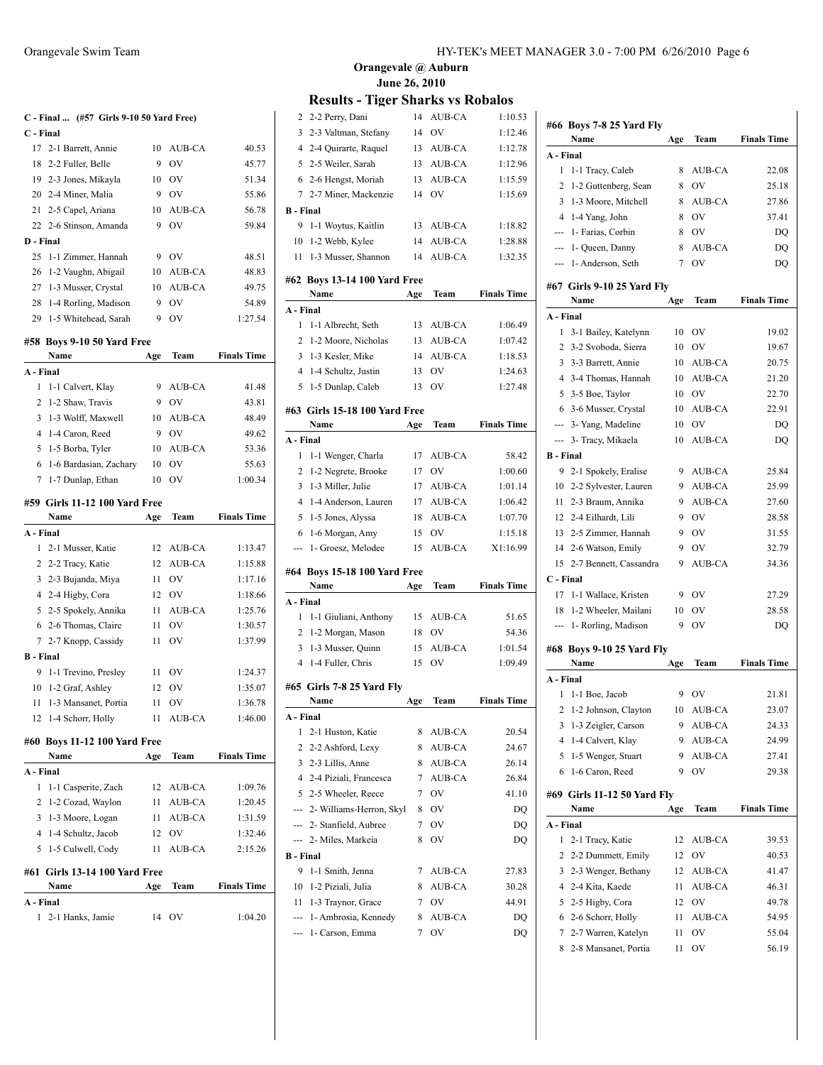|                  | C - Final  (#57 Girls 9-10 50 Yard Free) |     |                 |                    |
|------------------|------------------------------------------|-----|-----------------|--------------------|
| C - Final        |                                          |     |                 |                    |
| 17               | 2-1 Barrett, Annie                       | 10  | AUB-CA          | 40.53              |
| 18               | 2-2 Fuller, Belle                        | 9   | OV              | 45.77              |
|                  | 19 2-3 Jones, Mikayla                    | 10  | <b>OV</b>       | 51.34              |
|                  | 20 2-4 Miner, Malia                      | 9   | OV              | 55.86              |
|                  | 21 2-5 Capel, Ariana                     | 10  | AUB-CA          | 56.78              |
|                  | 22 2-6 Stinson, Amanda                   | 9   | OV              | 59.84              |
| D - Final        |                                          |     |                 |                    |
| 25               | 1-1 Zimmer, Hannah                       | 9   | OV              | 48.51              |
| 26               | 1-2 Vaughn, Abigail                      | 10  | AUB-CA          | 48.83              |
| 27               | 1-3 Musser, Crystal                      | 10  | AUB-CA          | 49.75              |
| 28               | 1-4 Rorling, Madison                     | 9   | OV              | 54.89              |
| 29               | 1-5 Whitehead, Sarah                     | 9   | OV              | 1:27.54            |
|                  | #58 Boys 9-10 50 Yard Free               |     |                 |                    |
|                  | Name                                     | Age | Team            | <b>Finals Time</b> |
| A - Final        |                                          |     |                 |                    |
| 1                | 1-1 Calvert, Klay                        | 9   | AUB-CA          | 41.48              |
| 2                | 1-2 Shaw, Travis                         | 9   | OV              | 43.81              |
| 3                | 1-3 Wolff, Maxwell                       | 10  | AUB-CA          | 48.49              |
| 4                | 1-4 Caron, Reed                          | 9   | <b>OV</b>       | 49.62              |
| 5                | 1-5 Borba, Tyler                         | 10  | AUB-CA          | 53.36              |
| 6                | 1-6 Bardasian, Zachary                   | 10  | OV              | 55.63              |
| 7                | 1-7 Dunlap, Ethan                        | 10  | OV              | 1:00.34            |
|                  |                                          |     |                 |                    |
|                  | #59 Girls 11-12 100 Yard Free<br>Name    | Age | Team            | <b>Finals Time</b> |
| A - Final        |                                          |     |                 |                    |
| 1                | 2-1 Musser, Katie                        | 12  | AUB-CA          | 1:13.47            |
| 2                | 2-2 Tracy, Katie                         | 12  | AUB-CA          | 1:15.88            |
| 3                | 2-3 Bujanda, Miya                        | 11  | <b>OV</b>       | 1:17.16            |
|                  | 4 2-4 Higby, Cora                        | 12  | <b>OV</b>       | 1:18.66            |
| 5                | 2-5 Spokely, Annika                      | 11  | AUB-CA          | 1:25.76            |
| 6                | 2-6 Thomas, Claire                       | 11  | OV              | 1:30.57            |
| 7                | 2-7 Knopp, Cassidy                       | 11  | OV              | 1:37.99            |
| <b>B</b> - Final |                                          |     |                 |                    |
| 9                | 1-1 Trevino, Presley                     | 11  | <b>OV</b>       | 1:24.37            |
| 10               | 1-2 Graf, Ashley                         | 12  | OV              | 1:35.07            |
| 11               | 1-3 Mansanet, Portia                     | 11  | OV              | 1:36.78            |
|                  | 12 1-4 Schorr, Holly                     |     | 11 AUB-CA       | 1:46.00            |
|                  |                                          |     |                 |                    |
| #60              | <b>Boys 11-12 100 Yard Free</b>          |     |                 |                    |
|                  | Name                                     | Age | Team            | <b>Finals Time</b> |
| A - Final        |                                          |     |                 |                    |
| 1                | 1-1 Casperite, Zach                      |     | 12 AUB-CA       | 1:09.76            |
| 2                | 1-2 Cozad, Waylon                        |     | 11 AUB-CA       | 1:20.45            |
| 3<br>4           | 1-3 Moore, Logan<br>1-4 Schultz, Jacob   | 11  | AUB-CA<br>12 OV | 1:31.59<br>1:32.46 |
| 5                |                                          | 11  | AUB-CA          | 2:15.26            |
|                  | 1-5 Culwell, Cody                        |     |                 |                    |
| #61              | <b>Girls 13-14 100 Yard Free</b>         |     |                 |                    |
|                  | Name                                     | Age | Team            | <b>Finals Time</b> |
| A - Final        |                                          |     |                 |                    |
| 1                | 2-1 Hanks, Jamie                         | 14  | <b>OV</b>       | 1:04.20            |
|                  |                                          |     |                 |                    |

## **Results - Tiger Sharks vs Robalos**

| 2                | 2-2 Perry, Dani                         | 14  | AUB-CA         | 1:10.53            |
|------------------|-----------------------------------------|-----|----------------|--------------------|
| 3                | 2-3 Valtman, Stefany                    | 14  | OV             | 1:12.46            |
| $\overline{4}$   | 2-4 Quirarte, Raquel                    | 13  | AUB-CA         | 1:12.78            |
| 5                | 2-5 Weiler, Sarah                       | 13  | AUB-CA         | 1:12.96            |
| 6                | 2-6 Hengst, Moriah                      | 13  | AUB-CA         | 1:15.59            |
| 7                | 2-7 Miner, Mackenzie                    | 14  | O <sub>V</sub> | 1:15.69            |
| <b>B</b> - Final |                                         |     |                |                    |
| 9                | 1-1 Woytus, Kaitlin                     | 13  | AUB-CA         | 1:18.82            |
| 10               | 1-2 Webb, Kylee                         | 14  | AUB-CA         | 1:28.88            |
| 11               | 1-3 Musser, Shannon                     | 14  | <b>AUB-CA</b>  | 1:32.35            |
|                  | #62 Boys 13-14 100 Yard Free            |     |                |                    |
|                  | Name                                    | Age | Team           | <b>Finals Time</b> |
| A - Final        |                                         |     |                |                    |
| 1                | 1-1 Albrecht, Seth                      | 13  | AUB-CA         | 1:06.49            |
| 2                | 1-2 Moore, Nicholas                     | 13  | AUB-CA         | 1:07.42            |
| 3                | 1-3 Kesler, Mike                        | 14  | AUB-CA         | 1:18.53            |
| $\overline{4}$   | 1-4 Schultz, Justin                     | 13  | OV             | 1:24.63            |
| 5                | 1-5 Dunlap, Caleb                       | 13  | OV             | 1:27.48            |
|                  | #63 Girls 15-18 100 Yard Free           |     |                |                    |
|                  | Name                                    | Age | Team           | <b>Finals Time</b> |
| A - Final        |                                         |     |                |                    |
| 1                | 1-1 Wenger, Charla                      | 17  | AUB-CA         | 58.42              |
| 2                | 1-2 Negrete, Brooke                     | 17  | OV             | 1:00.60            |
| 3                | 1-3 Miller, Julie                       | 17  | AUB-CA         | 1:01.14            |
| $\overline{4}$   | 1-4 Anderson, Lauren                    | 17  | AUB-CA         | 1:06.42            |
| 5                | 1-5 Jones, Alyssa                       | 18  | AUB-CA         | 1:07.70            |
| 6                | 1-6 Morgan, Amy                         | 15  | OV             | 1:15.18            |
|                  |                                         |     |                |                    |
| ---              | 1- Groesz, Melodee                      | 15  | AUB-CA         | X1:16.99           |
|                  |                                         |     |                |                    |
|                  | #64 Boys 15-18 100 Yard Free<br>Name    | Age | Team           | <b>Finals Time</b> |
| A - Final        |                                         |     |                |                    |
| 1                | 1-1 Giuliani, Anthony                   | 15  | AUB-CA         | 51.65              |
| 2                | 1-2 Morgan, Mason                       | 18  | OV             | 54.36              |
| 3                | 1-3 Musser, Quinn                       | 15  | AUB-CA         | 1:01.54            |
| 4                | 1-4 Fuller, Chris                       | 15  | OV             | 1:09.49            |
|                  |                                         |     |                |                    |
|                  | #65 Girls 7-8 25 Yard Fly<br>Name       | Age | Team           | <b>Finals Time</b> |
|                  | - Final                                 |     |                |                    |
| 1                | 2-1 Huston, Katie                       | 8   | AUB-CA         | 20.54              |
| 2                | 2-2 Ashford, Lexy                       | 8   | AUB-CA         | 24.67              |
| 3                | 2-3 Lillis, Anne                        | 8   | AUB-CA         | 26.14              |
| 4                | 2-4 Piziali, Francesca                  | 7   | AUB-CA         | 26.84              |
|                  | 5 2-5 Wheeler, Reece                    | 7   | OV             | 41.10              |
|                  | --- 2- Williams-Herron, Skyl            | 8   | OV             | DQ                 |
|                  | --- 2- Stanfield, Aubree                | 7   | OV             | DQ                 |
| ---              | 2- Miles, Markeia                       | 8   | OV             | DQ                 |
| B - Final        |                                         |     |                |                    |
| 9                | 1-1 Smith, Jenna                        | 7   | AUB-CA         | 27.83              |
| 10               | 1-2 Piziali, Julia                      | 8   | AUB-CA         | 30.28              |
| 11               | 1-3 Traynor, Grace                      | 7   | OV             | 44.91              |
| ---              | 1- Ambrosia, Kennedy<br>1- Carson, Emma | 8   | AUB-CA<br>OV   | DQ                 |

|                  | #66 Boys 7-8 25 Yard Fly<br>Name   | Age | Team          | <b>Finals Time</b> |
|------------------|------------------------------------|-----|---------------|--------------------|
| A - Final        |                                    |     |               |                    |
| 1                | 1-1 Tracy, Caleb                   | 8   | AUB-CA        | 22.08              |
| 2                | 1-2 Guttenberg, Sean               | 8   | OV            | 25.18              |
| 3                | 1-3 Moore, Mitchell                | 8   | AUB-CA        | 27.86              |
| 4                | 1-4 Yang, John                     | 8   | OV            | 37.41              |
|                  | --- 1- Farias, Corbin              | 8   | <b>OV</b>     | DQ                 |
|                  | --- 1- Queen, Danny                | 8   | <b>AUB-CA</b> | DO                 |
| $\overline{a}$   | 1- Anderson, Seth                  | 7   | OV            | DQ                 |
|                  |                                    |     |               |                    |
|                  | #67 Girls 9-10 25 Yard Fly<br>Name | Age | Team          | <b>Finals Time</b> |
| A - Final        |                                    |     |               |                    |
| 1                | 3-1 Bailey, Katelynn               | 10  | <b>OV</b>     | 19.02              |
| 2                | 3-2 Svoboda, Sierra                | 10  | OV            | 19.67              |
| 3                | 3-3 Barrett, Annie                 | 10  | AUB-CA        | 20.75              |
| 4                | 3-4 Thomas, Hannah                 | 10  | AUB-CA        | 21.20              |
| 5                | 3-5 Boe, Taylor                    | 10  | <b>OV</b>     | 22.70              |
| 6                | 3-6 Musser, Crystal                | 10  | AUB-CA        | 22.91              |
|                  | --- 3- Yang, Madeline              | 10  | OV            | D <sub>O</sub>     |
| ---              | 3- Tracy, Mikaela                  | 10  | <b>AUB-CA</b> | DQ                 |
| <b>B</b> - Final |                                    |     |               |                    |
| 9                | 2-1 Spokely, Eralise               | 9   | AUB-CA        | 25.84              |
| 10               | 2-2 Sylvester, Lauren              | 9   | AUB-CA        | 25.99              |
| 11               | 2-3 Braum, Annika                  | 9   | AUB-CA        | 27.60              |
|                  | 12 2-4 Eilhardt, Lili              | 9   | OV            | 28.58              |
|                  | 13 2-5 Zimmer, Hannah              | 9   | <b>OV</b>     | 31.55              |
|                  | 14 2-6 Watson, Emily               | 9   | OV            | 32.79              |
| 15               | 2-7 Bennett, Cassandra             | 9   | AUB-CA        | 34.36              |
| C - Final        |                                    |     |               |                    |
| 17               | 1-1 Wallace, Kristen               | 9   | OV            | 27.29              |
| 18               | 1-2 Wheeler, Mailani               | 10  | OV            | 28.58              |
| ---              | 1- Rorling, Madison                | 9   | OV            | DQ                 |
|                  |                                    |     |               |                    |
|                  | #68 Boys 9-10 25 Yard Fly<br>Name  | Age | Team          | <b>Finals Time</b> |
| A - Final        |                                    |     |               |                    |
| 1                | 1-1 Boe, Jacob                     | 9   | OV            | 21.81              |
| 2                | 1-2 Johnson, Clayton               | 10  | AUB-CA        | 23.07              |
| 3                | 1-3 Zeigler, Carson                | 9   | AUB-CA        | 24.33              |
| 4                | 1-4 Calvert, Klay                  | 9   | AUB-CA        | 24.99              |
| 5                | 1-5 Wenger, Stuart                 | 9   | AUB-CA        | 27.41              |
| 6                | 1-6 Caron, Reed                    | 9   | OV            | 29.38              |
|                  |                                    |     |               |                    |
|                  | #69 Girls 11-12 50 Yard Fly        |     |               |                    |
|                  | Name                               | Age | Team          | <b>Finals Time</b> |
| A - Final        |                                    |     |               |                    |
| 1                | 2-1 Tracy, Katie                   | 12  | AUB-CA        | 39.53              |
| 2                | 2-2 Dummett, Emily                 | 12  | OV            | 40.53              |
| 3                | 2-3 Wenger, Bethany                | 12  | AUB-CA        | 41.47              |
| 4                | 2-4 Kita, Kaede                    | 11  | AUB-CA        | 46.31              |
| 5                | 2-5 Higby, Cora                    | 12  | OV            | 49.78              |
| 6                | 2-6 Schorr, Holly                  | 11  | AUB-CA        | 54.95              |
|                  |                                    |     |               |                    |
| 7                | 2-7 Warren, Katelyn                | 11  | OV            | 55.04              |
| 8                | 2-8 Mansanet, Portia               | 11  | OV            | 56.19              |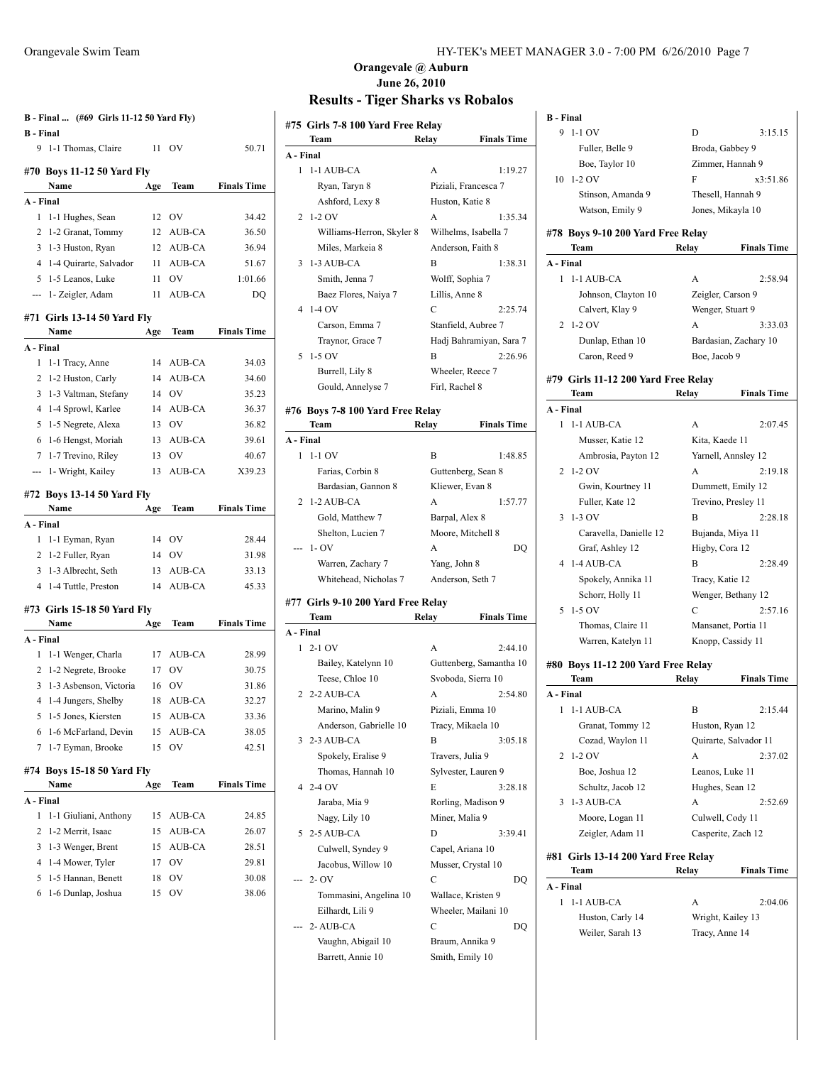| B - Final  (#69 Girls 11-12 50 Yard Fly)<br><b>B</b> - Final |                                     |     |               |                    |  |
|--------------------------------------------------------------|-------------------------------------|-----|---------------|--------------------|--|
|                                                              | 9 1-1 Thomas, Claire                | 11  | OV            | 50.71              |  |
|                                                              | #70 Boys 11-12 50 Yard Fly          |     |               |                    |  |
|                                                              | Name                                | Age | Team          | <b>Finals Time</b> |  |
| A - Final                                                    |                                     |     |               |                    |  |
| 1                                                            | 1-1 Hughes, Sean                    | 12  | <b>OV</b>     | 34.42              |  |
| 2                                                            | 1-2 Granat, Tommy                   | 12  | AUB-CA        | 36.50              |  |
| 3                                                            | 1-3 Huston, Ryan                    | 12  | AUB-CA        | 36.94              |  |
| 4                                                            | 1-4 Quirarte, Salvador              | 11  | AUB-CA        | 51.67              |  |
| 5                                                            | 1-5 Leanos, Luke                    | 11  | OV            | 1:01.66            |  |
| $\overline{a}$                                               | 1- Zeigler, Adam                    | 11  | AUB-CA        | DQ                 |  |
|                                                              | #71 Girls 13-14 50 Yard Fly<br>Name | Age | Team          | <b>Finals Time</b> |  |
| A - Final                                                    |                                     |     |               |                    |  |
| 1                                                            | 1-1 Tracy, Anne                     | 14  | AUB-CA        | 34.03              |  |
| 2                                                            | 1-2 Huston, Carly                   | 14  | AUB-CA        | 34.60              |  |
| 3                                                            | 1-3 Valtman, Stefany                | 14  | <b>OV</b>     | 35.23              |  |
| 4                                                            | 1-4 Sprowl, Karlee                  | 14  | AUB-CA        | 36.37              |  |
| 5                                                            | 1-5 Negrete, Alexa                  | 13  | OV            | 36.82              |  |
|                                                              | 6 1-6 Hengst, Moriah                | 13  | AUB-CA        | 39.61              |  |
| 7                                                            | 1-7 Trevino, Riley                  | 13  | OV            | 40.67              |  |
| ---                                                          | 1- Wright, Kailey                   | 13  | <b>AUB-CA</b> | X39.23             |  |
|                                                              | #72 Boys 13-14 50 Yard Fly          |     |               |                    |  |
|                                                              | Name                                | Age | Team          | <b>Finals Time</b> |  |
| A - Final                                                    |                                     |     |               |                    |  |
| 1                                                            | 1-1 Eyman, Ryan                     | 14  | OV            | 28.44              |  |
|                                                              | 2 1-2 Fuller, Ryan                  | 14  | <b>OV</b>     | 31.98              |  |
| 3                                                            | 1-3 Albrecht, Seth                  | 13  | AUB-CA        | 33.13              |  |
| 4                                                            | 1-4 Tuttle, Preston                 | 14  | AUB-CA        | 45.33              |  |
|                                                              | #73 Girls 15-18 50 Yard Fly         |     |               |                    |  |
|                                                              | Name                                | Age | Team          | <b>Finals Time</b> |  |
| A - Final                                                    |                                     |     |               |                    |  |
| 1                                                            | 1-1 Wenger, Charla                  | 17  | AUB-CA        | 28.99              |  |
| 2                                                            | 1-2 Negrete, Brooke                 | 17  | OV            | 30.75              |  |
| 3                                                            | 1-3 Asbenson, Victoria              | 16  | OV            | 31.86              |  |
| 4                                                            | 1-4 Jungers, Shelby                 | 18  | AUB-CA        | 32.27              |  |
| 5                                                            | 1-5 Jones, Kiersten                 | 15  | AUB-CA        | 33.36              |  |
| 6                                                            | 1-6 McFarland, Devin                | 15  | AUB-CA        | 38.05              |  |
| 7                                                            | 1-7 Eyman, Brooke                   | 15  | OV            | 42.51              |  |
|                                                              | #74 Boys 15-18 50 Yard Fly<br>Name  | Age | Team          | <b>Finals Time</b> |  |
| A - Final                                                    |                                     |     |               |                    |  |
| 1                                                            | 1-1 Giuliani, Anthony               | 15  | AUB-CA        | 24.85              |  |
| 2                                                            | 1-2 Merrit, Isaac                   | 15  | AUB-CA        | 26.07              |  |
| 3                                                            | 1-3 Wenger, Brent                   | 15  | AUB-CA        | 28.51              |  |
| 4                                                            | 1-4 Mower, Tyler                    | 17  | OV            | 29.81              |  |
| 5                                                            | 1-5 Hannan, Benett                  | 18  | OV            | 30.08              |  |
| 6                                                            | 1-6 Dunlap, Joshua                  | 15  | OV            | 38.06              |  |
|                                                              |                                     |     |               |                    |  |

#### Orangevale Swim Team HY-TEK's MEET MANAGER 3.0 - 7:00 PM 6/26/2010 Page 7

# **Orangevale @ Auburn June 26, 2010**

# **Results - Tiger Sharks vs Robalos**

|                | #75  Girls 7-8 100 Yard Free Relay<br>Team | Relay          | <b>Finals Time</b>            |
|----------------|--------------------------------------------|----------------|-------------------------------|
| A - Final      |                                            |                |                               |
| 1              | 1-1 AUB-CA                                 | A              | 1:19.27                       |
|                | Ryan, Taryn 8                              |                | Piziali, Francesca 7          |
|                | Ashford, Lexy 8                            |                | Huston, Katie 8               |
| 2              | $1-2$ OV                                   | A              | 1:35.34                       |
|                | Williams-Herron, Skyler 8                  |                | Wilhelms, Isabella 7          |
|                | Miles. Markeia 8                           |                | Anderson, Faith 8             |
| 3              | 1-3 AUB-CA                                 | B              | 1:38.31                       |
|                | Smith, Jenna 7                             |                | Wolff, Sophia 7               |
|                | Baez Flores, Naiya 7                       | Lillis, Anne 8 |                               |
| 4              | $1-4$ OV                                   | C              | 2:25.74                       |
|                | Carson, Emma 7                             |                | Stanfield, Aubree 7           |
|                | Traynor, Grace 7                           |                | Hadj Bahramiyan, Sara 7       |
| 5              | $1-5$ OV                                   | B              | 2:26.96                       |
|                | Burrell, Lily 8                            |                | Wheeler, Reece 7              |
|                | Gould, Annelyse 7                          | Firl, Rachel 8 |                               |
|                |                                            |                |                               |
|                | #76 Boys 7-8 100 Yard Free Relay           |                |                               |
| A - Final      | Team                                       | Relay          | <b>Finals Time</b>            |
| 1              | $1-1$ OV                                   | B              | 1:48.85                       |
|                | Farias, Corbin 8                           |                | Guttenberg, Sean 8            |
|                | Bardasian, Gannon 8                        |                | Kliewer, Evan 8               |
| 2              | 1-2 AUB-CA                                 | A              | 1:57.77                       |
|                | Gold, Matthew 7                            | Barpal, Alex 8 |                               |
|                | Shelton, Lucien 7                          |                | Moore, Mitchell 8             |
|                | $1 - OV$                                   | A              | DQ                            |
|                | Warren, Zachary 7                          | Yang, John 8   |                               |
|                | Whitehead, Nicholas 7                      |                | Anderson, Seth 7              |
|                |                                            |                |                               |
|                | #77  Girls 9-10 200 Yard Free Relay        |                |                               |
|                | Team                                       | Relay          | <b>Finals Time</b>            |
| A - Final<br>1 | $2-1$ OV                                   |                |                               |
|                |                                            | А              | 2:44.10                       |
|                | Bailey, Katelynn 10                        |                | Guttenberg, Samantha 10       |
| 2              | Teese, Chloe 10<br>2-2 AUB-CA              | А              | Svoboda, Sierra 10<br>2:54.80 |
|                | Marino, Malin 9                            |                | Piziali, Emma 10              |
|                |                                            |                |                               |
| 3              | Anderson, Gabrielle 10<br>2-3 AUB-CA       | В              | Tracy, Mikaela 10<br>3:05.18  |
|                | Spokely, Eralise 9                         |                | Travers, Julia 9              |
|                | Thomas, Hannah 10                          |                | Sylvester, Lauren 9           |
|                | $42 - 40V$                                 | E              | 3:28.18                       |
|                | Jaraba, Mia 9                              |                | Rorling, Madison 9            |
|                | Nagy, Lily 10                              |                | Miner, Malia 9                |
| 5              | 2-5 AUB-CA                                 | D              | 3:39.41                       |
|                | Culwell, Syndey 9                          |                | Capel, Ariana 10              |
|                | Jacobus, Willow 10                         |                | Musser, Crystal 10            |
|                | $2 - OV$                                   | C              | DO                            |
|                | Tommasini, Angelina 10                     |                | Wallace, Kristen 9            |
|                | Eilhardt, Lili 9                           |                | Wheeler, Mailani 10           |
|                | 2-AUB-CA                                   | С              | DQ                            |
|                | Vaughn, Abigail 10                         |                | Braum, Annika 9               |
|                | Barrett, Annie 10                          |                | Smith, Emily 10               |
|                |                                            |                |                               |

| <b>B</b> - Final                    |                 |                       |
|-------------------------------------|-----------------|-----------------------|
| 9<br>1-1 OV                         | D               | 3:15.15               |
| Fuller, Belle 9                     |                 | Broda, Gabbey 9       |
| Boe, Taylor 10                      |                 | Zimmer, Hannah 9      |
| $1-2$ OV<br>10                      | F               | x3:51.86              |
| Stinson, Amanda 9                   |                 | Thesell, Hannah 9     |
| Watson, Emily 9                     |                 | Jones, Mikayla 10     |
| #78 Boys 9-10 200 Yard Free Relay   |                 |                       |
| Team                                | Relay           | <b>Finals Time</b>    |
| A - Final                           |                 |                       |
| 1-1 AUB-CA<br>1                     | А               | 2:58.94               |
| Johnson, Clayton 10                 |                 | Zeigler, Carson 9     |
| Calvert, Klay 9                     |                 | Wenger, Stuart 9      |
| 2<br>$1-2$ OV                       | А               | 3:33.03               |
| Dunlap, Ethan 10                    |                 | Bardasian, Zachary 10 |
| Caron, Reed 9                       | Boe, Jacob 9    |                       |
|                                     |                 |                       |
| #79 Girls 11-12 200 Yard Free Relay |                 |                       |
| Team                                | Relay           | <b>Finals Time</b>    |
| A - Final                           |                 |                       |
| 1-1 AUB-CA<br>1                     | A               | 2:07.45               |
| Musser, Katie 12                    | Kita, Kaede 11  |                       |
| Ambrosia, Payton 12                 |                 | Yarnell, Annsley 12   |
| $1-2$ OV<br>2                       | A               | 2:19.18               |
| Gwin, Kourtney 11                   |                 | Dummett, Emily 12     |
| Fuller, Kate 12                     |                 | Trevino, Presley 11   |
| $1-3$ OV<br>3                       | В               | 2:28.18               |
| Caravella, Danielle 12              |                 | Bujanda, Miya 11      |
| Graf, Ashley 12                     | Higby, Cora 12  |                       |
| 1-4 AUB-CA<br>4                     | B               | 2:28.49               |
| Spokely, Annika 11                  | Tracy, Katie 12 |                       |
| Schorr, Holly 11                    |                 | Wenger, Bethany 12    |
| $1-5$ OV<br>5                       | С               | 2:57.16               |
| Thomas, Claire 11                   |                 | Mansanet, Portia 11   |
| Warren, Katelyn 11                  |                 | Knopp, Cassidy 11     |
| #80 Boys 11-12 200 Yard Free Relay  |                 |                       |
| Team                                | Relav           | <b>Finals Time</b>    |
| A - Final                           |                 |                       |
| 1-1 AUB-CA<br>1                     | B               | 2:15.44               |
| Granat, Tommy 12                    |                 | Huston, Ryan 12       |
| Cozad, Waylon 11                    |                 | Quirarte, Salvador 11 |
| 2<br>1-2 OV                         | A               | 2:37.02               |
| Boe, Joshua 12                      | Leanos, Luke 11 |                       |
| Schultz, Jacob 12                   |                 | Hughes, Sean 12       |
| 1-3 AUB-CA<br>3                     | A               | 2:52.69               |
| Moore, Logan 11                     |                 | Culwell, Cody 11      |
| Zeigler, Adam 11                    |                 | Casperite, Zach 12    |
| #81 Girls 13-14 200 Yard Free Relay |                 |                       |
| Team                                | Relay           | <b>Finals Time</b>    |
| A - Final                           |                 |                       |
| 1-1 AUB-CA<br>1                     | А               | 2:04.06               |
| Huston, Carly 14                    |                 | Wright, Kailey 13     |
| Weiler, Sarah 13                    | Tracy, Anne 14  |                       |
|                                     |                 |                       |
|                                     |                 |                       |